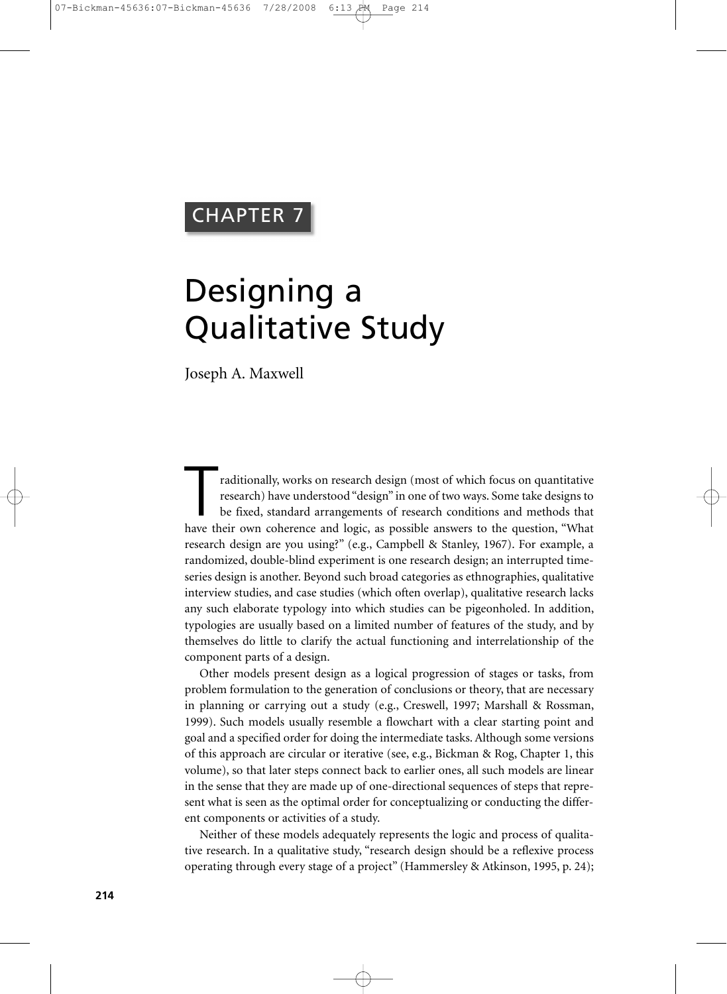# **CHAPTER**

# Designing a Qualitative Study

Joseph A. Maxwell

raditionally, works on research design (most of which focus on quantitative research) have understood "design" in one of two ways. Some take designs to be fixed, standard arrangements of research conditions and methods tha research) have understood "design" in one of two ways. Some take designs to be fixed, standard arrangements of research conditions and methods that have their own coherence and logic, as possible answers to the question, "What research design are you using?" (e.g., Campbell & Stanley, 1967). For example, a randomized, double-blind experiment is one research design; an interrupted timeseries design is another. Beyond such broad categories as ethnographies, qualitative interview studies, and case studies (which often overlap), qualitative research lacks any such elaborate typology into which studies can be pigeonholed. In addition, typologies are usually based on a limited number of features of the study, and by themselves do little to clarify the actual functioning and interrelationship of the component parts of a design.

Other models present design as a logical progression of stages or tasks, from problem formulation to the generation of conclusions or theory, that are necessary in planning or carrying out a study (e.g., Creswell, 1997; Marshall & Rossman, 1999). Such models usually resemble a flowchart with a clear starting point and goal and a specified order for doing the intermediate tasks. Although some versions of this approach are circular or iterative (see, e.g., Bickman & Rog, Chapter 1, this volume), so that later steps connect back to earlier ones, all such models are linear in the sense that they are made up of one-directional sequences of steps that represent what is seen as the optimal order for conceptualizing or conducting the different components or activities of a study.

Neither of these models adequately represents the logic and process of qualitative research. In a qualitative study, "research design should be a reflexive process operating through every stage of a project" (Hammersley & Atkinson, 1995, p. 24);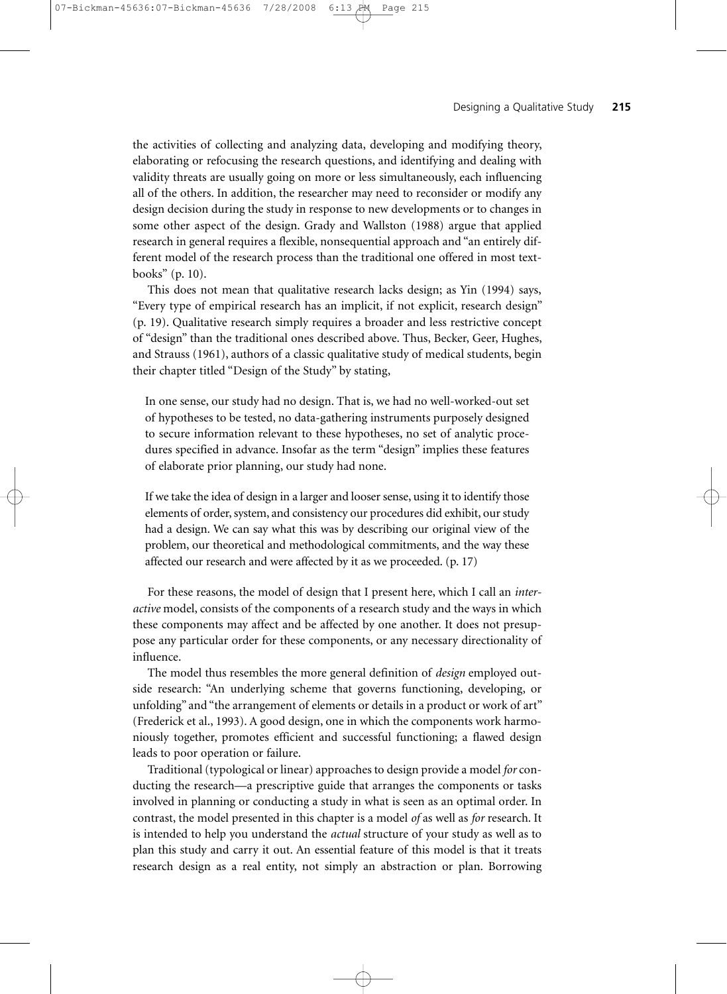the activities of collecting and analyzing data, developing and modifying theory, elaborating or refocusing the research questions, and identifying and dealing with validity threats are usually going on more or less simultaneously, each influencing all of the others. In addition, the researcher may need to reconsider or modify any design decision during the study in response to new developments or to changes in some other aspect of the design. Grady and Wallston (1988) argue that applied research in general requires a flexible, nonsequential approach and "an entirely different model of the research process than the traditional one offered in most textbooks" (p. 10).

This does not mean that qualitative research lacks design; as Yin (1994) says, "Every type of empirical research has an implicit, if not explicit, research design" (p. 19). Qualitative research simply requires a broader and less restrictive concept of "design" than the traditional ones described above. Thus, Becker, Geer, Hughes, and Strauss (1961), authors of a classic qualitative study of medical students, begin their chapter titled "Design of the Study" by stating,

In one sense, our study had no design. That is, we had no well-worked-out set of hypotheses to be tested, no data-gathering instruments purposely designed to secure information relevant to these hypotheses, no set of analytic procedures specified in advance. Insofar as the term "design" implies these features of elaborate prior planning, our study had none.

If we take the idea of design in a larger and looser sense, using it to identify those elements of order, system, and consistency our procedures did exhibit, our study had a design. We can say what this was by describing our original view of the problem, our theoretical and methodological commitments, and the way these affected our research and were affected by it as we proceeded. (p. 17)

For these reasons, the model of design that I present here, which I call an *interactive* model, consists of the components of a research study and the ways in which these components may affect and be affected by one another. It does not presuppose any particular order for these components, or any necessary directionality of influence.

The model thus resembles the more general definition of *design* employed outside research: "An underlying scheme that governs functioning, developing, or unfolding" and "the arrangement of elements or details in a product or work of art" (Frederick et al., 1993). A good design, one in which the components work harmoniously together, promotes efficient and successful functioning; a flawed design leads to poor operation or failure.

Traditional (typological or linear) approaches to design provide a model *for* conducting the research—a prescriptive guide that arranges the components or tasks involved in planning or conducting a study in what is seen as an optimal order. In contrast, the model presented in this chapter is a model *of* as well as *for* research. It is intended to help you understand the *actual* structure of your study as well as to plan this study and carry it out. An essential feature of this model is that it treats research design as a real entity, not simply an abstraction or plan. Borrowing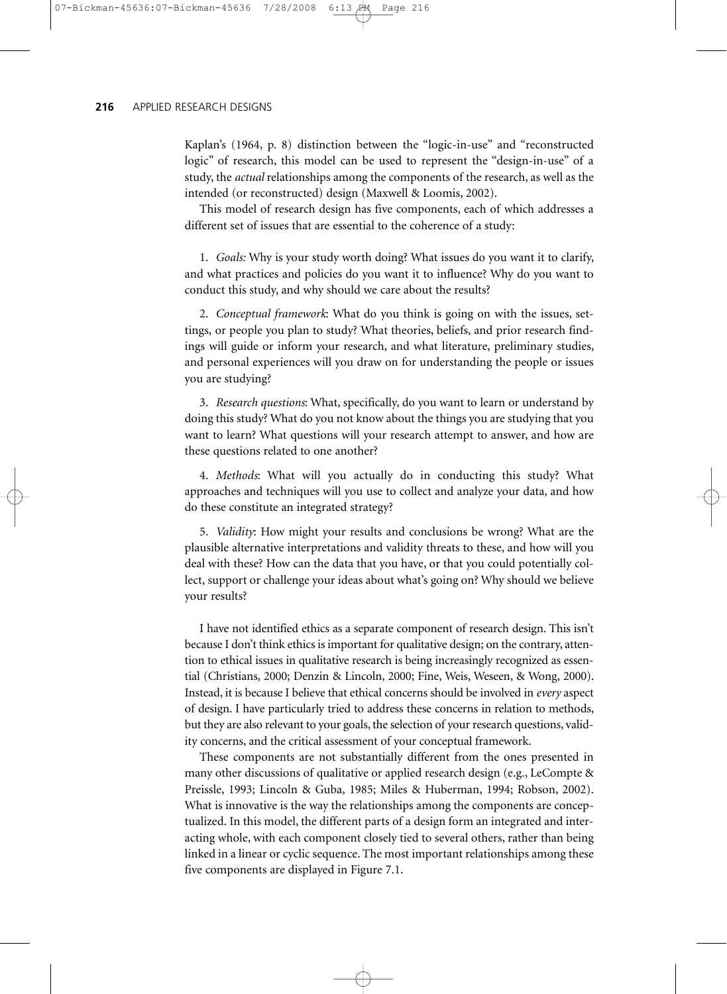Kaplan's (1964, p. 8) distinction between the "logic-in-use" and "reconstructed logic" of research, this model can be used to represent the "design-in-use" of a study, the *actual* relationships among the components of the research, as well as the intended (or reconstructed) design (Maxwell & Loomis, 2002).

This model of research design has five components, each of which addresses a different set of issues that are essential to the coherence of a study:

1. *Goals:* Why is your study worth doing? What issues do you want it to clarify, and what practices and policies do you want it to influence? Why do you want to conduct this study, and why should we care about the results?

2. *Conceptual framework*: What do you think is going on with the issues, settings, or people you plan to study? What theories, beliefs, and prior research findings will guide or inform your research, and what literature, preliminary studies, and personal experiences will you draw on for understanding the people or issues you are studying?

3. *Research questions*: What, specifically, do you want to learn or understand by doing this study? What do you not know about the things you are studying that you want to learn? What questions will your research attempt to answer, and how are these questions related to one another?

4. *Methods*: What will you actually do in conducting this study? What approaches and techniques will you use to collect and analyze your data, and how do these constitute an integrated strategy?

5. *Validity*: How might your results and conclusions be wrong? What are the plausible alternative interpretations and validity threats to these, and how will you deal with these? How can the data that you have, or that you could potentially collect, support or challenge your ideas about what's going on? Why should we believe your results?

I have not identified ethics as a separate component of research design. This isn't because I don't think ethics is important for qualitative design; on the contrary, attention to ethical issues in qualitative research is being increasingly recognized as essential (Christians, 2000; Denzin & Lincoln, 2000; Fine, Weis, Weseen, & Wong, 2000). Instead, it is because I believe that ethical concerns should be involved in *every* aspect of design. I have particularly tried to address these concerns in relation to methods, but they are also relevant to your goals, the selection of your research questions, validity concerns, and the critical assessment of your conceptual framework.

These components are not substantially different from the ones presented in many other discussions of qualitative or applied research design (e.g., LeCompte & Preissle, 1993; Lincoln & Guba, 1985; Miles & Huberman, 1994; Robson, 2002). What is innovative is the way the relationships among the components are conceptualized. In this model, the different parts of a design form an integrated and interacting whole, with each component closely tied to several others, rather than being linked in a linear or cyclic sequence. The most important relationships among these five components are displayed in Figure 7.1.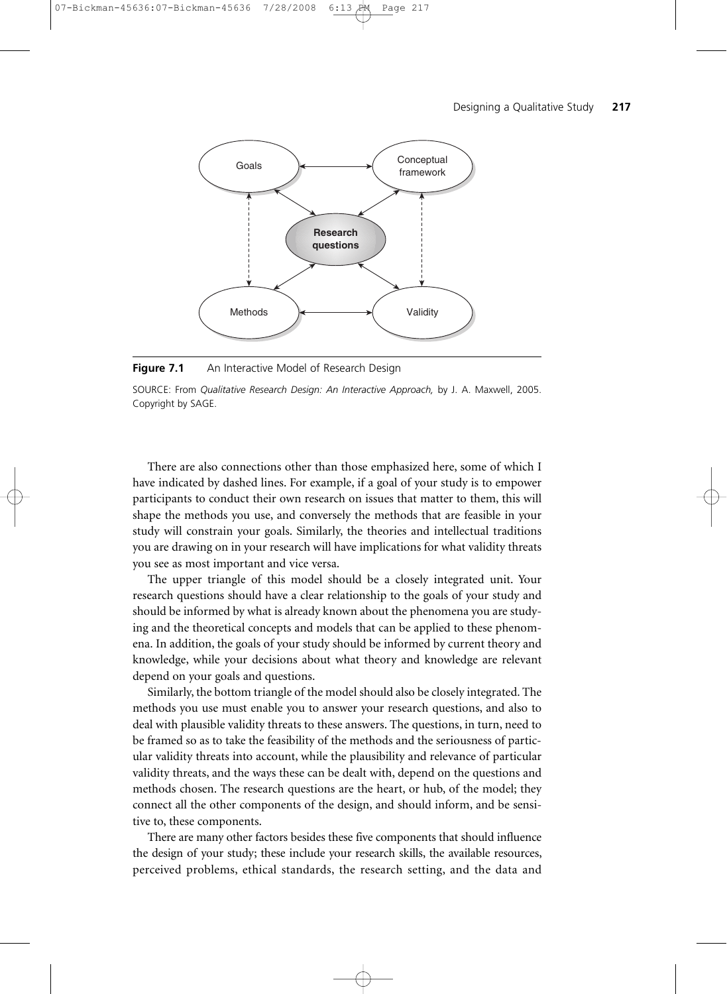



**Figure 7.1** An Interactive Model of Research Design

SOURCE: From *Qualitative Research Design: An Interactive Approach,* by J. A. Maxwell, 2005. Copyright by SAGE.

There are also connections other than those emphasized here, some of which I have indicated by dashed lines. For example, if a goal of your study is to empower participants to conduct their own research on issues that matter to them, this will shape the methods you use, and conversely the methods that are feasible in your study will constrain your goals. Similarly, the theories and intellectual traditions you are drawing on in your research will have implications for what validity threats you see as most important and vice versa.

The upper triangle of this model should be a closely integrated unit. Your research questions should have a clear relationship to the goals of your study and should be informed by what is already known about the phenomena you are studying and the theoretical concepts and models that can be applied to these phenomena. In addition, the goals of your study should be informed by current theory and knowledge, while your decisions about what theory and knowledge are relevant depend on your goals and questions.

Similarly, the bottom triangle of the model should also be closely integrated. The methods you use must enable you to answer your research questions, and also to deal with plausible validity threats to these answers. The questions, in turn, need to be framed so as to take the feasibility of the methods and the seriousness of particular validity threats into account, while the plausibility and relevance of particular validity threats, and the ways these can be dealt with, depend on the questions and methods chosen. The research questions are the heart, or hub, of the model; they connect all the other components of the design, and should inform, and be sensitive to, these components.

There are many other factors besides these five components that should influence the design of your study; these include your research skills, the available resources, perceived problems, ethical standards, the research setting, and the data and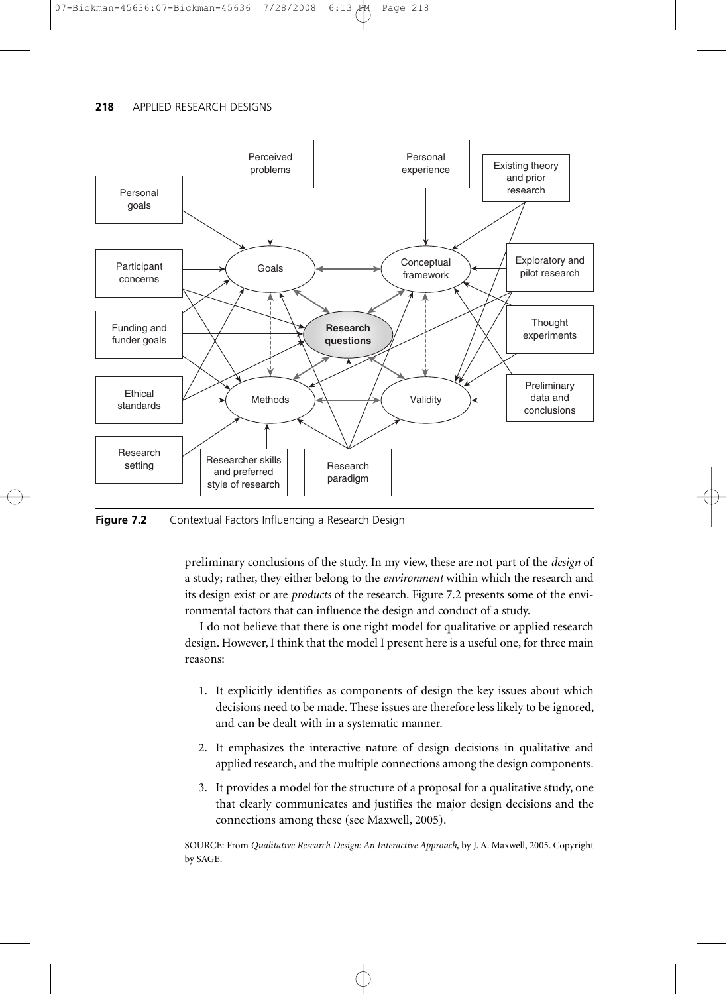

**Figure 7.2** Contextual Factors Influencing a Research Design

preliminary conclusions of the study. In my view, these are not part of the *design* of a study; rather, they either belong to the *environment* within which the research and its design exist or are *products* of the research. Figure 7.2 presents some of the environmental factors that can influence the design and conduct of a study.

I do not believe that there is one right model for qualitative or applied research design. However, I think that the model I present here is a useful one, for three main reasons:

- 1. It explicitly identifies as components of design the key issues about which decisions need to be made. These issues are therefore less likely to be ignored, and can be dealt with in a systematic manner.
- 2. It emphasizes the interactive nature of design decisions in qualitative and applied research, and the multiple connections among the design components.
- 3. It provides a model for the structure of a proposal for a qualitative study, one that clearly communicates and justifies the major design decisions and the connections among these (see Maxwell, 2005).

SOURCE: From *Qualitative Research Design: An Interactive Approach,* by J. A. Maxwell, 2005. Copyright by SAGE.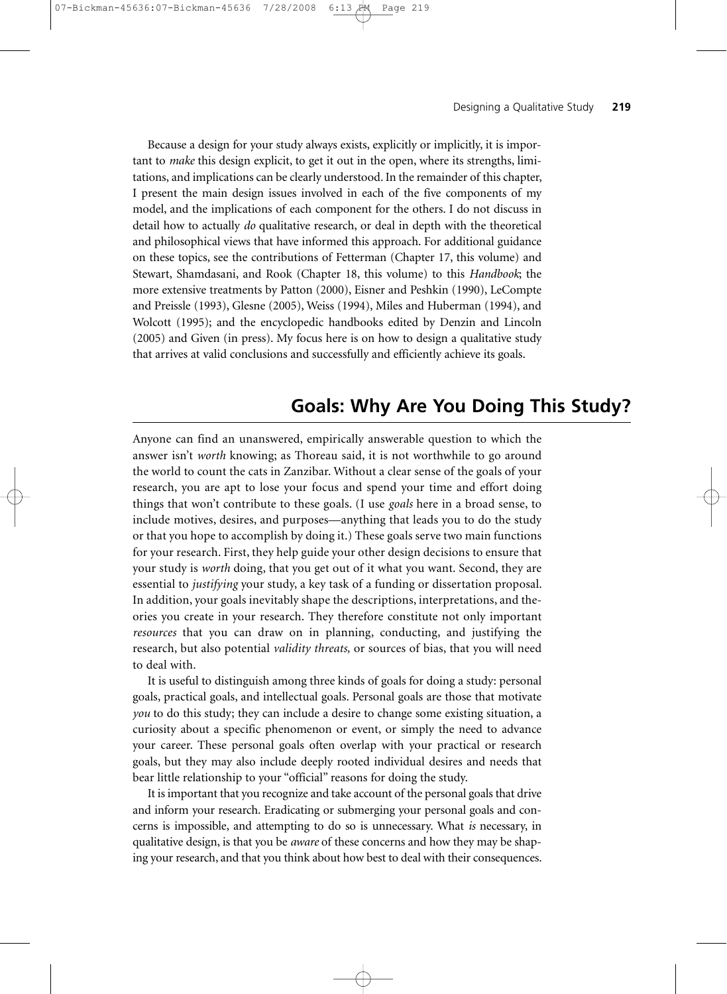Because a design for your study always exists, explicitly or implicitly, it is important to *make* this design explicit, to get it out in the open, where its strengths, limitations, and implications can be clearly understood.In the remainder of this chapter, I present the main design issues involved in each of the five components of my model, and the implications of each component for the others. I do not discuss in detail how to actually *do* qualitative research, or deal in depth with the theoretical and philosophical views that have informed this approach. For additional guidance on these topics, see the contributions of Fetterman (Chapter 17, this volume) and Stewart, Shamdasani, and Rook (Chapter 18, this volume) to this *Handbook*; the more extensive treatments by Patton (2000), Eisner and Peshkin (1990), LeCompte and Preissle (1993), Glesne (2005), Weiss (1994), Miles and Huberman (1994), and Wolcott (1995); and the encyclopedic handbooks edited by Denzin and Lincoln (2005) and Given (in press). My focus here is on how to design a qualitative study that arrives at valid conclusions and successfully and efficiently achieve its goals.

# **Goals: Why Are You Doing This Study?**

Anyone can find an unanswered, empirically answerable question to which the answer isn't *worth* knowing; as Thoreau said, it is not worthwhile to go around the world to count the cats in Zanzibar. Without a clear sense of the goals of your research, you are apt to lose your focus and spend your time and effort doing things that won't contribute to these goals. (I use *goals* here in a broad sense, to include motives, desires, and purposes—anything that leads you to do the study or that you hope to accomplish by doing it.) These goals serve two main functions for your research. First, they help guide your other design decisions to ensure that your study is *worth* doing, that you get out of it what you want. Second, they are essential to *justifying* your study, a key task of a funding or dissertation proposal. In addition, your goals inevitably shape the descriptions, interpretations, and theories you create in your research. They therefore constitute not only important *resources* that you can draw on in planning, conducting, and justifying the research, but also potential *validity threats,* or sources of bias, that you will need to deal with.

It is useful to distinguish among three kinds of goals for doing a study: personal goals, practical goals, and intellectual goals. Personal goals are those that motivate *you* to do this study; they can include a desire to change some existing situation, a curiosity about a specific phenomenon or event, or simply the need to advance your career. These personal goals often overlap with your practical or research goals, but they may also include deeply rooted individual desires and needs that bear little relationship to your "official" reasons for doing the study.

It is important that you recognize and take account of the personal goals that drive and inform your research. Eradicating or submerging your personal goals and concerns is impossible, and attempting to do so is unnecessary. What *is* necessary, in qualitative design, is that you be *aware* of these concerns and how they may be shaping your research, and that you think about how best to deal with their consequences.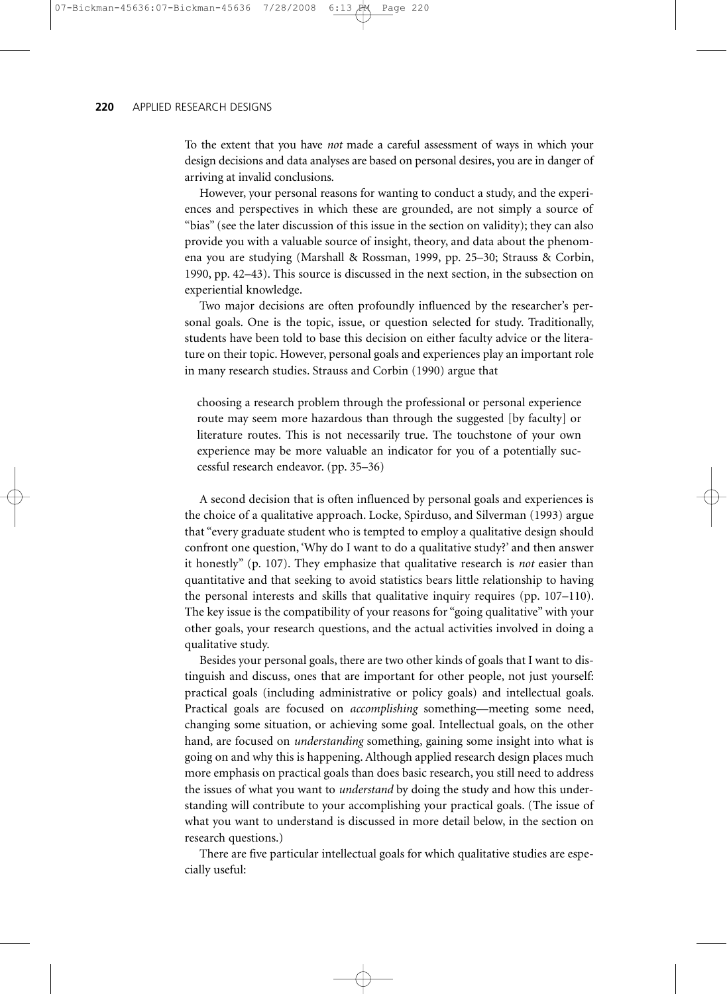07-Bickman-45636:07-Bickman-45636 7/28/2008 6:13 PM Page 220

To the extent that you have *not* made a careful assessment of ways in which your design decisions and data analyses are based on personal desires, you are in danger of arriving at invalid conclusions.

However, your personal reasons for wanting to conduct a study, and the experiences and perspectives in which these are grounded, are not simply a source of "bias" (see the later discussion of this issue in the section on validity); they can also provide you with a valuable source of insight, theory, and data about the phenomena you are studying (Marshall & Rossman, 1999, pp. 25–30; Strauss & Corbin, 1990, pp. 42–43). This source is discussed in the next section, in the subsection on experiential knowledge.

Two major decisions are often profoundly influenced by the researcher's personal goals. One is the topic, issue, or question selected for study. Traditionally, students have been told to base this decision on either faculty advice or the literature on their topic. However, personal goals and experiences play an important role in many research studies. Strauss and Corbin (1990) argue that

choosing a research problem through the professional or personal experience route may seem more hazardous than through the suggested [by faculty] or literature routes. This is not necessarily true. The touchstone of your own experience may be more valuable an indicator for you of a potentially successful research endeavor. (pp. 35–36)

A second decision that is often influenced by personal goals and experiences is the choice of a qualitative approach. Locke, Spirduso, and Silverman (1993) argue that "every graduate student who is tempted to employ a qualitative design should confront one question, 'Why do I want to do a qualitative study?' and then answer it honestly" (p. 107). They emphasize that qualitative research is *not* easier than quantitative and that seeking to avoid statistics bears little relationship to having the personal interests and skills that qualitative inquiry requires (pp. 107–110). The key issue is the compatibility of your reasons for "going qualitative" with your other goals, your research questions, and the actual activities involved in doing a qualitative study.

Besides your personal goals, there are two other kinds of goals that I want to distinguish and discuss, ones that are important for other people, not just yourself: practical goals (including administrative or policy goals) and intellectual goals. Practical goals are focused on *accomplishing* something—meeting some need, changing some situation, or achieving some goal. Intellectual goals, on the other hand, are focused on *understanding* something, gaining some insight into what is going on and why this is happening. Although applied research design places much more emphasis on practical goals than does basic research, you still need to address the issues of what you want to *understand* by doing the study and how this understanding will contribute to your accomplishing your practical goals. (The issue of what you want to understand is discussed in more detail below, in the section on research questions.)

There are five particular intellectual goals for which qualitative studies are especially useful: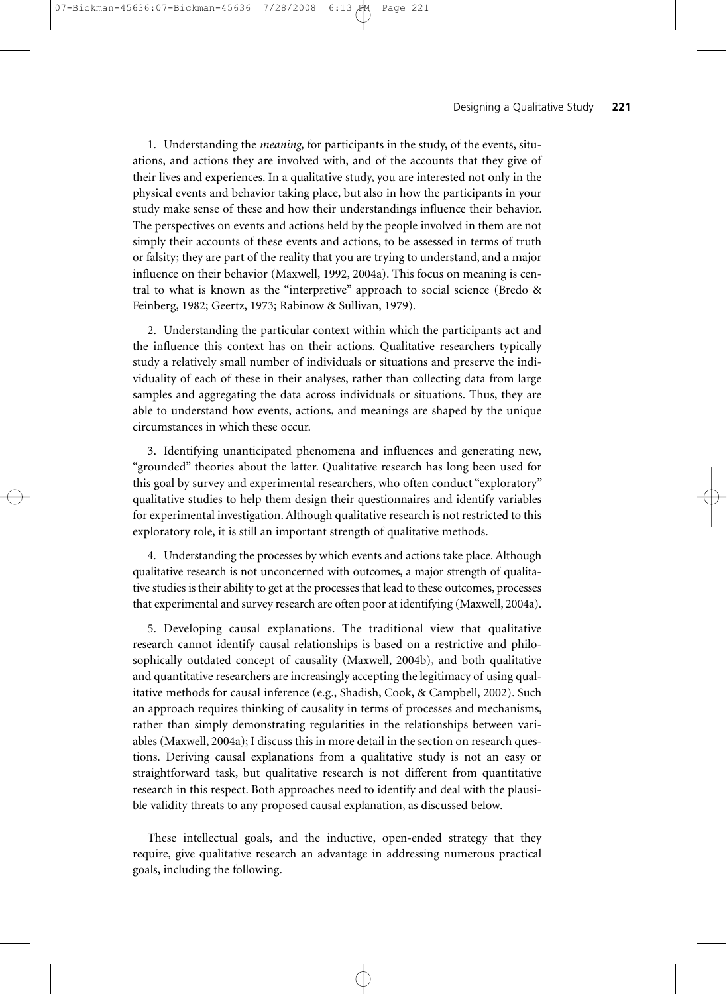1. Understanding the *meaning,* for participants in the study, of the events, situations, and actions they are involved with, and of the accounts that they give of their lives and experiences. In a qualitative study, you are interested not only in the physical events and behavior taking place, but also in how the participants in your study make sense of these and how their understandings influence their behavior. The perspectives on events and actions held by the people involved in them are not simply their accounts of these events and actions, to be assessed in terms of truth or falsity; they are part of the reality that you are trying to understand, and a major influence on their behavior (Maxwell, 1992, 2004a). This focus on meaning is central to what is known as the "interpretive" approach to social science (Bredo & Feinberg, 1982; Geertz, 1973; Rabinow & Sullivan, 1979).

2. Understanding the particular context within which the participants act and the influence this context has on their actions. Qualitative researchers typically study a relatively small number of individuals or situations and preserve the individuality of each of these in their analyses, rather than collecting data from large samples and aggregating the data across individuals or situations. Thus, they are able to understand how events, actions, and meanings are shaped by the unique circumstances in which these occur.

3. Identifying unanticipated phenomena and influences and generating new, "grounded" theories about the latter. Qualitative research has long been used for this goal by survey and experimental researchers, who often conduct "exploratory" qualitative studies to help them design their questionnaires and identify variables for experimental investigation.Although qualitative research is not restricted to this exploratory role, it is still an important strength of qualitative methods.

4. Understanding the processes by which events and actions take place. Although qualitative research is not unconcerned with outcomes, a major strength of qualitative studies is their ability to get at the processes that lead to these outcomes, processes that experimental and survey research are often poor at identifying (Maxwell, 2004a).

5. Developing causal explanations. The traditional view that qualitative research cannot identify causal relationships is based on a restrictive and philosophically outdated concept of causality (Maxwell, 2004b), and both qualitative and quantitative researchers are increasingly accepting the legitimacy of using qualitative methods for causal inference (e.g., Shadish, Cook, & Campbell, 2002). Such an approach requires thinking of causality in terms of processes and mechanisms, rather than simply demonstrating regularities in the relationships between variables (Maxwell, 2004a); I discuss this in more detail in the section on research questions. Deriving causal explanations from a qualitative study is not an easy or straightforward task, but qualitative research is not different from quantitative research in this respect. Both approaches need to identify and deal with the plausible validity threats to any proposed causal explanation, as discussed below.

These intellectual goals, and the inductive, open-ended strategy that they require, give qualitative research an advantage in addressing numerous practical goals, including the following.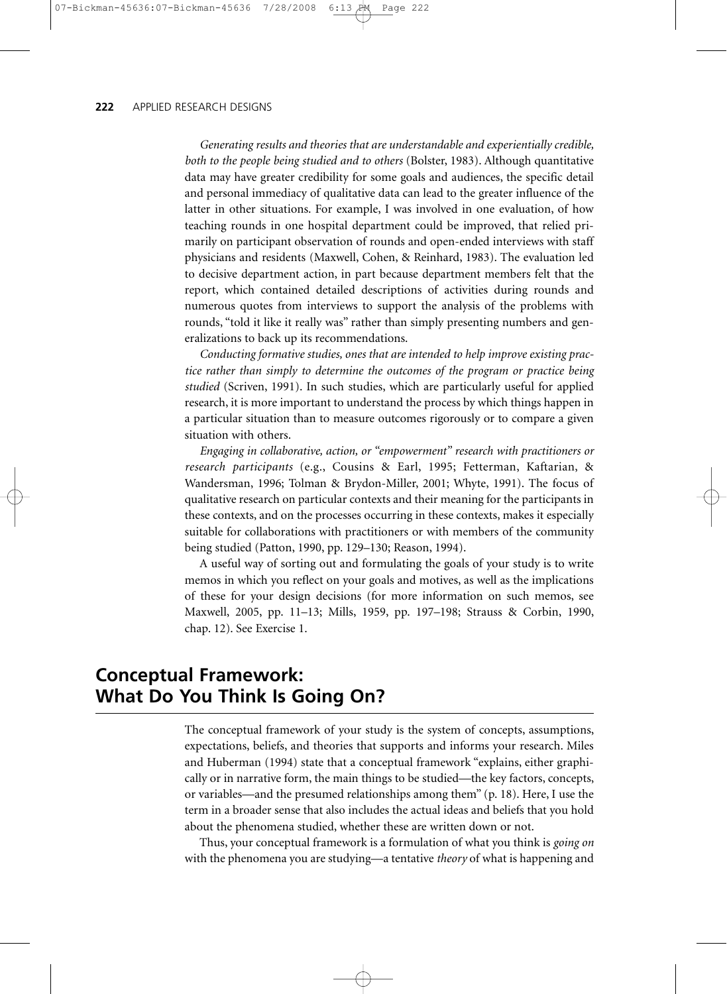*Generating results and theories that are understandable and experientially credible, both to the people being studied and to others* (Bolster, 1983). Although quantitative data may have greater credibility for some goals and audiences, the specific detail and personal immediacy of qualitative data can lead to the greater influence of the latter in other situations. For example, I was involved in one evaluation, of how teaching rounds in one hospital department could be improved, that relied primarily on participant observation of rounds and open-ended interviews with staff physicians and residents (Maxwell, Cohen, & Reinhard, 1983). The evaluation led to decisive department action, in part because department members felt that the report, which contained detailed descriptions of activities during rounds and numerous quotes from interviews to support the analysis of the problems with rounds, "told it like it really was" rather than simply presenting numbers and generalizations to back up its recommendations.

*Conducting formative studies, ones that are intended to help improve existing practice rather than simply to determine the outcomes of the program or practice being studied* (Scriven, 1991). In such studies, which are particularly useful for applied research, it is more important to understand the process by which things happen in a particular situation than to measure outcomes rigorously or to compare a given situation with others.

*Engaging in collaborative, action, or "empowerment" research with practitioners or research participants* (e.g., Cousins & Earl, 1995; Fetterman, Kaftarian, & Wandersman, 1996; Tolman & Brydon-Miller, 2001; Whyte, 1991). The focus of qualitative research on particular contexts and their meaning for the participants in these contexts, and on the processes occurring in these contexts, makes it especially suitable for collaborations with practitioners or with members of the community being studied (Patton, 1990, pp. 129–130; Reason, 1994).

A useful way of sorting out and formulating the goals of your study is to write memos in which you reflect on your goals and motives, as well as the implications of these for your design decisions (for more information on such memos, see Maxwell, 2005, pp. 11–13; Mills, 1959, pp. 197–198; Strauss & Corbin, 1990, chap. 12). See Exercise 1.

# **Conceptual Framework: What Do You Think Is Going On?**

The conceptual framework of your study is the system of concepts, assumptions, expectations, beliefs, and theories that supports and informs your research. Miles and Huberman (1994) state that a conceptual framework "explains, either graphically or in narrative form, the main things to be studied—the key factors, concepts, or variables—and the presumed relationships among them" (p. 18). Here, I use the term in a broader sense that also includes the actual ideas and beliefs that you hold about the phenomena studied, whether these are written down or not.

Thus, your conceptual framework is a formulation of what you think is *going on* with the phenomena you are studying—a tentative *theory* of what is happening and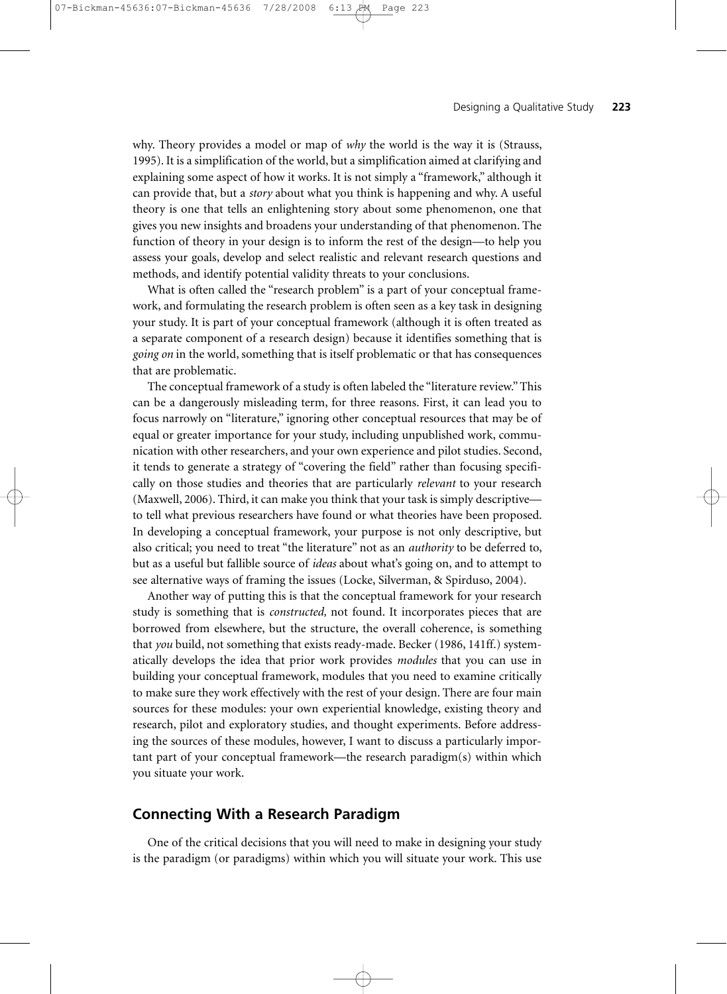why. Theory provides a model or map of *why* the world is the way it is (Strauss, 1995). It is a simplification of the world, but a simplification aimed at clarifying and explaining some aspect of how it works. It is not simply a "framework," although it can provide that, but a *story* about what you think is happening and why. A useful theory is one that tells an enlightening story about some phenomenon, one that gives you new insights and broadens your understanding of that phenomenon. The function of theory in your design is to inform the rest of the design—to help you assess your goals, develop and select realistic and relevant research questions and methods, and identify potential validity threats to your conclusions.

What is often called the "research problem" is a part of your conceptual framework, and formulating the research problem is often seen as a key task in designing your study. It is part of your conceptual framework (although it is often treated as a separate component of a research design) because it identifies something that is *going on* in the world, something that is itself problematic or that has consequences that are problematic.

The conceptual framework of a study is often labeled the "literature review."This can be a dangerously misleading term, for three reasons. First, it can lead you to focus narrowly on "literature," ignoring other conceptual resources that may be of equal or greater importance for your study, including unpublished work, communication with other researchers, and your own experience and pilot studies. Second, it tends to generate a strategy of "covering the field" rather than focusing specifically on those studies and theories that are particularly *relevant* to your research (Maxwell, 2006). Third, it can make you think that your task is simply descriptive to tell what previous researchers have found or what theories have been proposed. In developing a conceptual framework, your purpose is not only descriptive, but also critical; you need to treat "the literature" not as an *authority* to be deferred to, but as a useful but fallible source of *ideas* about what's going on, and to attempt to see alternative ways of framing the issues (Locke, Silverman, & Spirduso, 2004).

Another way of putting this is that the conceptual framework for your research study is something that is *constructed,* not found. It incorporates pieces that are borrowed from elsewhere, but the structure, the overall coherence, is something that *you* build, not something that exists ready-made. Becker (1986, 141ff.) systematically develops the idea that prior work provides *modules* that you can use in building your conceptual framework, modules that you need to examine critically to make sure they work effectively with the rest of your design. There are four main sources for these modules: your own experiential knowledge, existing theory and research, pilot and exploratory studies, and thought experiments. Before addressing the sources of these modules, however, I want to discuss a particularly important part of your conceptual framework—the research paradigm(s) within which you situate your work.

# **Connecting With a Research Paradigm**

One of the critical decisions that you will need to make in designing your study is the paradigm (or paradigms) within which you will situate your work. This use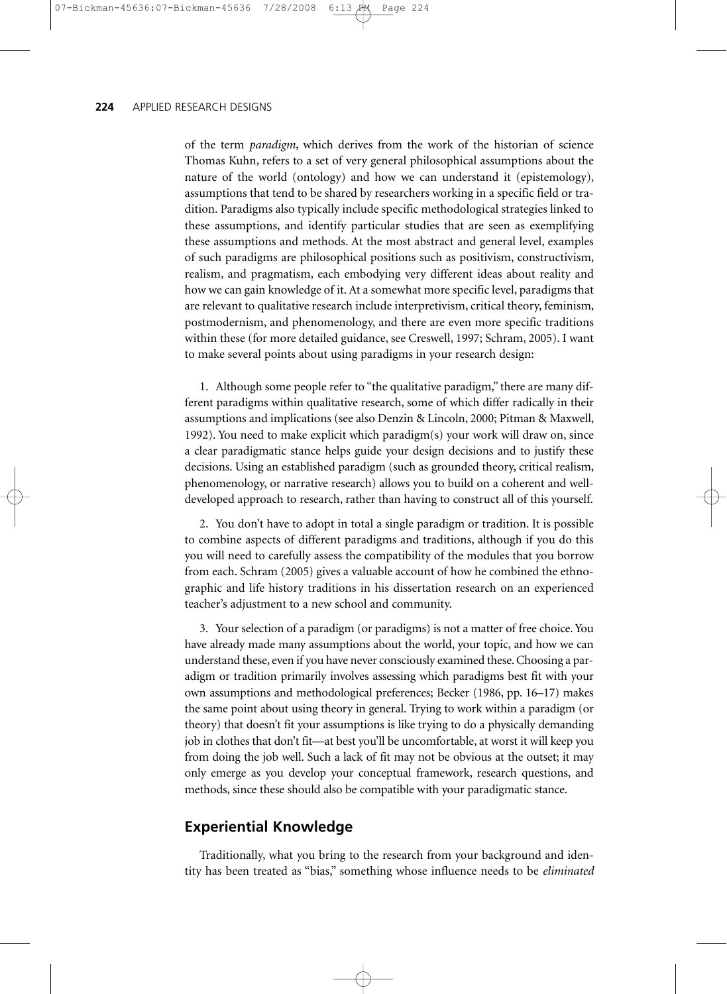of the term *paradigm*, which derives from the work of the historian of science Thomas Kuhn, refers to a set of very general philosophical assumptions about the nature of the world (ontology) and how we can understand it (epistemology), assumptions that tend to be shared by researchers working in a specific field or tradition. Paradigms also typically include specific methodological strategies linked to these assumptions, and identify particular studies that are seen as exemplifying these assumptions and methods. At the most abstract and general level, examples of such paradigms are philosophical positions such as positivism, constructivism, realism, and pragmatism, each embodying very different ideas about reality and how we can gain knowledge of it.At a somewhat more specific level, paradigms that are relevant to qualitative research include interpretivism, critical theory, feminism, postmodernism, and phenomenology, and there are even more specific traditions within these (for more detailed guidance, see Creswell, 1997; Schram, 2005). I want to make several points about using paradigms in your research design:

1. Although some people refer to "the qualitative paradigm," there are many different paradigms within qualitative research, some of which differ radically in their assumptions and implications (see also Denzin & Lincoln, 2000; Pitman & Maxwell, 1992). You need to make explicit which paradigm(s) your work will draw on, since a clear paradigmatic stance helps guide your design decisions and to justify these decisions. Using an established paradigm (such as grounded theory, critical realism, phenomenology, or narrative research) allows you to build on a coherent and welldeveloped approach to research, rather than having to construct all of this yourself.

2. You don't have to adopt in total a single paradigm or tradition. It is possible to combine aspects of different paradigms and traditions, although if you do this you will need to carefully assess the compatibility of the modules that you borrow from each. Schram (2005) gives a valuable account of how he combined the ethnographic and life history traditions in his dissertation research on an experienced teacher's adjustment to a new school and community.

3. Your selection of a paradigm (or paradigms) is not a matter of free choice.You have already made many assumptions about the world, your topic, and how we can understand these, even if you have never consciously examined these.Choosing a paradigm or tradition primarily involves assessing which paradigms best fit with your own assumptions and methodological preferences; Becker (1986, pp. 16–17) makes the same point about using theory in general. Trying to work within a paradigm (or theory) that doesn't fit your assumptions is like trying to do a physically demanding job in clothes that don't fit—at best you'll be uncomfortable, at worst it will keep you from doing the job well. Such a lack of fit may not be obvious at the outset; it may only emerge as you develop your conceptual framework, research questions, and methods, since these should also be compatible with your paradigmatic stance.

# **Experiential Knowledge**

Traditionally, what you bring to the research from your background and identity has been treated as "bias," something whose influence needs to be *eliminated*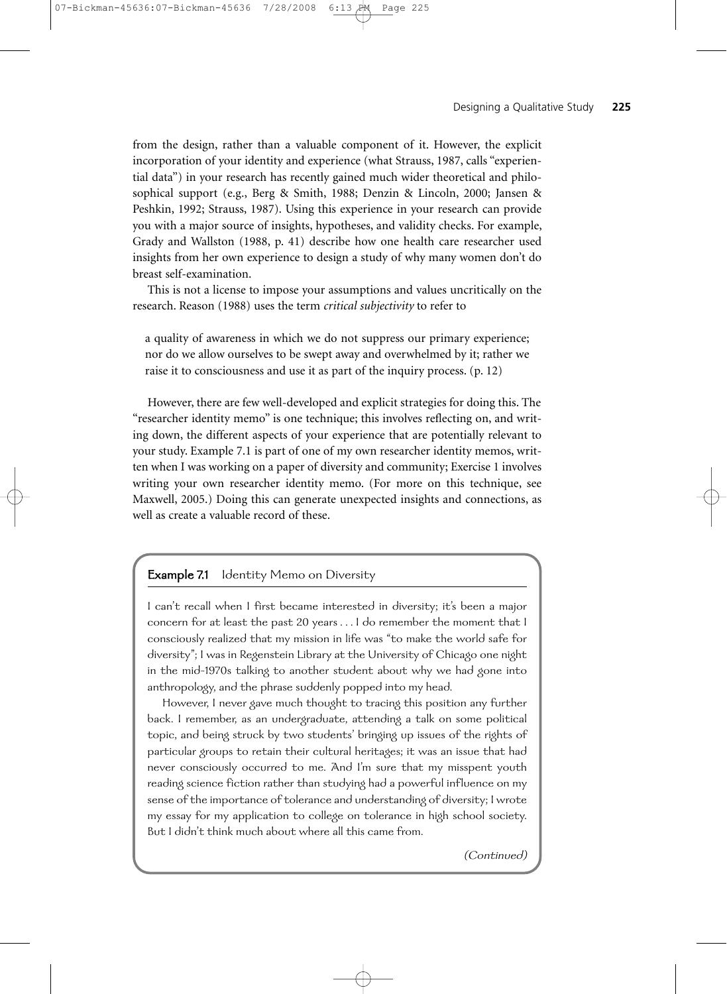from the design, rather than a valuable component of it. However, the explicit incorporation of your identity and experience (what Strauss, 1987, calls "experiential data") in your research has recently gained much wider theoretical and philosophical support (e.g., Berg & Smith, 1988; Denzin & Lincoln, 2000; Jansen & Peshkin, 1992; Strauss, 1987). Using this experience in your research can provide you with a major source of insights, hypotheses, and validity checks. For example, Grady and Wallston (1988, p. 41) describe how one health care researcher used insights from her own experience to design a study of why many women don't do breast self-examination.

This is not a license to impose your assumptions and values uncritically on the research. Reason (1988) uses the term *critical subjectivity* to refer to

a quality of awareness in which we do not suppress our primary experience; nor do we allow ourselves to be swept away and overwhelmed by it; rather we raise it to consciousness and use it as part of the inquiry process. (p. 12)

However, there are few well-developed and explicit strategies for doing this. The "researcher identity memo" is one technique; this involves reflecting on, and writing down, the different aspects of your experience that are potentially relevant to your study. Example 7.1 is part of one of my own researcher identity memos, written when I was working on a paper of diversity and community; Exercise 1 involves writing your own researcher identity memo. (For more on this technique, see Maxwell, 2005.) Doing this can generate unexpected insights and connections, as well as create a valuable record of these.

# **Example 7.1** Identity Memo on Diversity

I can't recall when I first became interested in diversity; it's been a major concern for at least the past 20 years ... I do remember the moment that I consciously realized that my mission in life was "to make the world safe for diversity"; I was in Regenstein Library at the University of Chicago one night in the mid-1970s talking to another student about why we had gone into anthropology, and the phrase suddenly popped into my head.

However, I never gave much thought to tracing this position any further back. I remember, as an undergraduate, attending a talk on some political topic, and being struck by two students' bringing up issues of the rights of particular groups to retain their cultural heritages; it was an issue that had never consciously occurred to me. And I'm sure that my misspent youth reading science fiction rather than studying had a powerful influence on my sense of the importance of tolerance and understanding of diversity; I wrote my essay for my application to college on tolerance in high school society. But I didn't think much about where all this came from.

(Continued)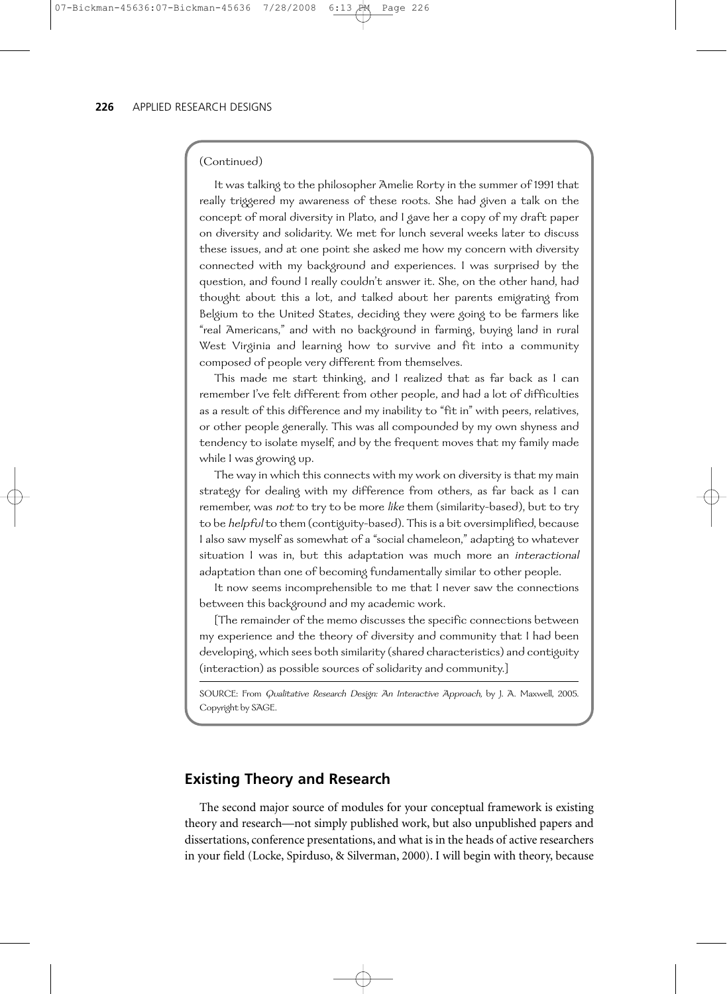### (Continued)

It was talking to the philosopher Amelie Rorty in the summer of 1991 that really triggered my awareness of these roots. She had given a talk on the concept of moral diversity in Plato, and I gave her a copy of my draft paper on diversity and solidarity. We met for lunch several weeks later to discuss these issues, and at one point she asked me how my concern with diversity connected with my background and experiences. I was surprised by the question, and found I really couldn't answer it. She, on the other hand, had thought about this a lot, and talked about her parents emigrating from Belgium to the United States, deciding they were going to be farmers like "real Americans," and with no background in farming, buying land in rural West Virginia and learning how to survive and fit into a community composed of people very different from themselves.

This made me start thinking, and I realized that as far back as I can remember I've felt different from other people, and had a lot of difficulties as a result of this difference and my inability to "fit in" with peers, relatives, or other people generally. This was all compounded by my own shyness and tendency to isolate myself, and by the frequent moves that my family made while I was growing up.

The way in which this connects with my work on diversity is that my main strategy for dealing with my difference from others, as far back as I can remember, was not to try to be more like them (similarity-based), but to try to be helpful to them (contiguity-based). This is a bit oversimplified, because I also saw myself as somewhat of a "social chameleon," adapting to whatever situation I was in, but this adaptation was much more an interactional adaptation than one of becoming fundamentally similar to other people.

It now seems incomprehensible to me that I never saw the connections between this background and my academic work.

[The remainder of the memo discusses the specific connections between my experience and the theory of diversity and community that I had been developing, which sees both similarity (shared characteristics) and contiguity (interaction) as possible sources of solidarity and community.]

SOURCE: From Qualitative Research Design: An Interactive Approach, by J. A. Maxwell, 2005. Copyright by SAGE.

# **Existing Theory and Research**

The second major source of modules for your conceptual framework is existing theory and research—not simply published work, but also unpublished papers and dissertations, conference presentations, and what is in the heads of active researchers in your field (Locke, Spirduso, & Silverman, 2000). I will begin with theory, because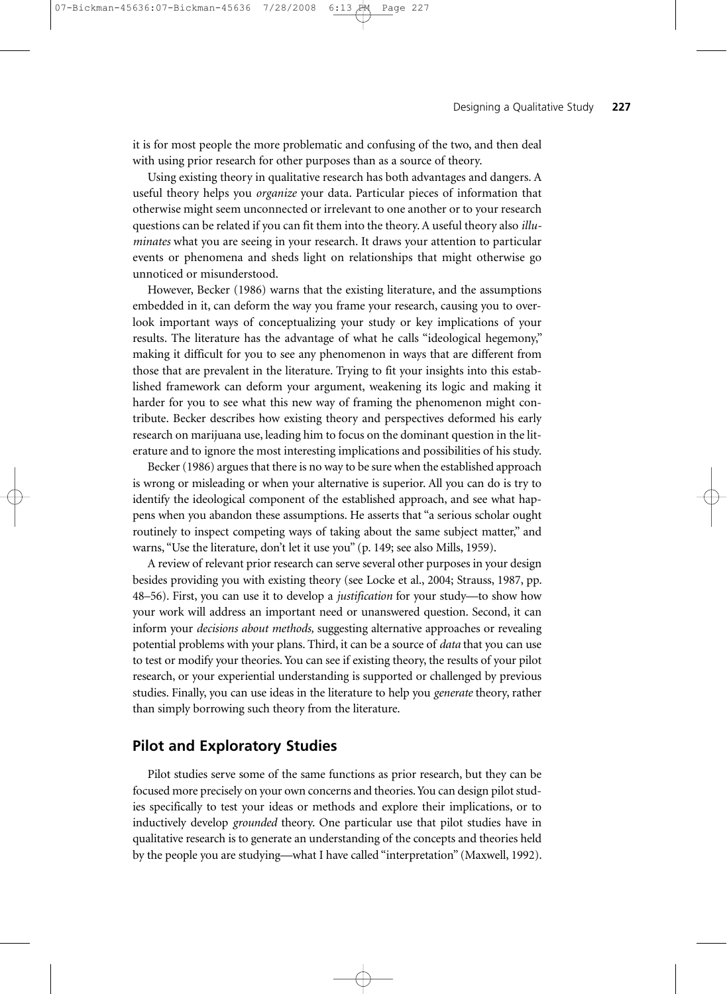it is for most people the more problematic and confusing of the two, and then deal with using prior research for other purposes than as a source of theory.

> Using existing theory in qualitative research has both advantages and dangers. A useful theory helps you *organize* your data. Particular pieces of information that otherwise might seem unconnected or irrelevant to one another or to your research questions can be related if you can fit them into the theory.A useful theory also *illuminates* what you are seeing in your research. It draws your attention to particular events or phenomena and sheds light on relationships that might otherwise go unnoticed or misunderstood.

> However, Becker (1986) warns that the existing literature, and the assumptions embedded in it, can deform the way you frame your research, causing you to overlook important ways of conceptualizing your study or key implications of your results. The literature has the advantage of what he calls "ideological hegemony," making it difficult for you to see any phenomenon in ways that are different from those that are prevalent in the literature. Trying to fit your insights into this established framework can deform your argument, weakening its logic and making it harder for you to see what this new way of framing the phenomenon might contribute. Becker describes how existing theory and perspectives deformed his early research on marijuana use, leading him to focus on the dominant question in the literature and to ignore the most interesting implications and possibilities of his study.

> Becker (1986) argues that there is no way to be sure when the established approach is wrong or misleading or when your alternative is superior. All you can do is try to identify the ideological component of the established approach, and see what happens when you abandon these assumptions. He asserts that "a serious scholar ought routinely to inspect competing ways of taking about the same subject matter," and warns, "Use the literature, don't let it use you" (p. 149; see also Mills, 1959).

> A review of relevant prior research can serve several other purposes in your design besides providing you with existing theory (see Locke et al., 2004; Strauss, 1987, pp. 48–56). First, you can use it to develop a *justification* for your study—to show how your work will address an important need or unanswered question. Second, it can inform your *decisions about methods,* suggesting alternative approaches or revealing potential problems with your plans. Third, it can be a source of *data* that you can use to test or modify your theories.You can see if existing theory, the results of your pilot research, or your experiential understanding is supported or challenged by previous studies. Finally, you can use ideas in the literature to help you *generate* theory, rather than simply borrowing such theory from the literature.

# **Pilot and Exploratory Studies**

Pilot studies serve some of the same functions as prior research, but they can be focused more precisely on your own concerns and theories.You can design pilot studies specifically to test your ideas or methods and explore their implications, or to inductively develop *grounded* theory. One particular use that pilot studies have in qualitative research is to generate an understanding of the concepts and theories held by the people you are studying—what I have called "interpretation" (Maxwell, 1992).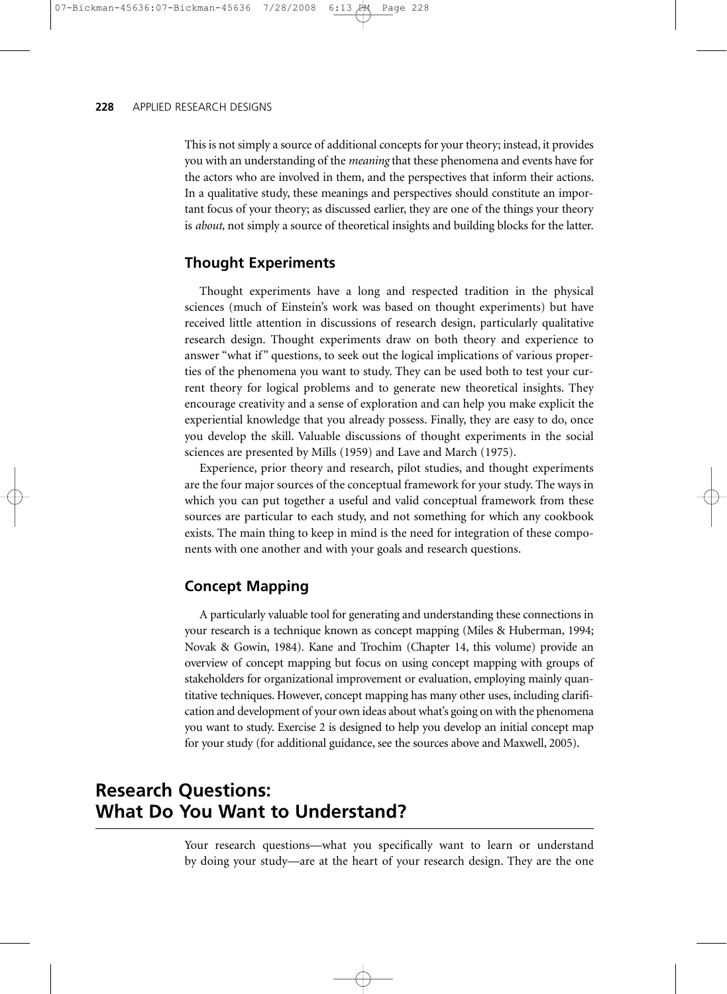This is not simply a source of additional concepts for your theory; instead, it provides you with an understanding of the *meaning* that these phenomena and events have for the actors who are involved in them, and the perspectives that inform their actions. In a qualitative study, these meanings and perspectives should constitute an important focus of your theory; as discussed earlier, they are one of the things your theory is *about,* not simply a source of theoretical insights and building blocks for the latter.

# **Thought Experiments**

Thought experiments have a long and respected tradition in the physical sciences (much of Einstein's work was based on thought experiments) but have received little attention in discussions of research design, particularly qualitative research design. Thought experiments draw on both theory and experience to answer "what if" questions, to seek out the logical implications of various properties of the phenomena you want to study. They can be used both to test your current theory for logical problems and to generate new theoretical insights. They encourage creativity and a sense of exploration and can help you make explicit the experiential knowledge that you already possess. Finally, they are easy to do, once you develop the skill. Valuable discussions of thought experiments in the social sciences are presented by Mills (1959) and Lave and March (1975).

Experience, prior theory and research, pilot studies, and thought experiments are the four major sources of the conceptual framework for your study. The ways in which you can put together a useful and valid conceptual framework from these sources are particular to each study, and not something for which any cookbook exists. The main thing to keep in mind is the need for integration of these components with one another and with your goals and research questions.

# **Concept Mapping**

A particularly valuable tool for generating and understanding these connections in your research is a technique known as concept mapping (Miles & Huberman, 1994; Novak & Gowin, 1984). Kane and Trochim (Chapter 14, this volume) provide an overview of concept mapping but focus on using concept mapping with groups of stakeholders for organizational improvement or evaluation, employing mainly quantitative techniques. However, concept mapping has many other uses, including clarification and development of your own ideas about what's going on with the phenomena you want to study. Exercise 2 is designed to help you develop an initial concept map for your study (for additional guidance, see the sources above and Maxwell, 2005).

# **Research Questions: What Do You Want to Understand?**

Your research questions—what you specifically want to learn or understand by doing your study—are at the heart of your research design. They are the one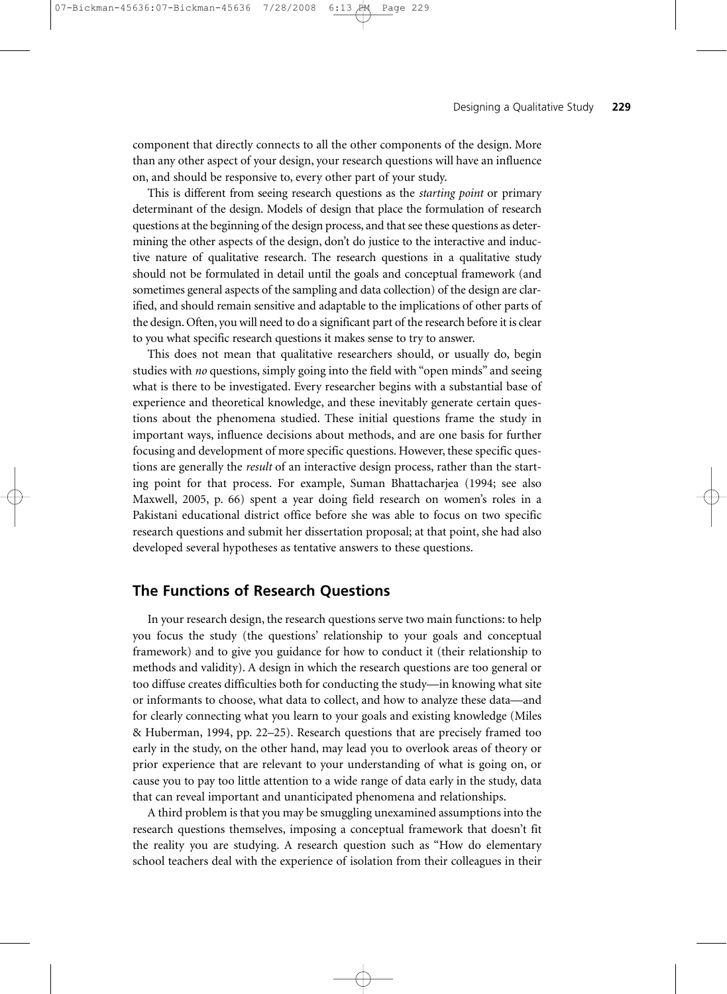component that directly connects to all the other components of the design. More than any other aspect of your design, your research questions will have an influence on, and should be responsive to, every other part of your study.

This is different from seeing research questions as the *starting point* or primary determinant of the design. Models of design that place the formulation of research questions at the beginning of the design process, and that see these questions as determining the other aspects of the design, don't do justice to the interactive and inductive nature of qualitative research. The research questions in a qualitative study should not be formulated in detail until the goals and conceptual framework (and sometimes general aspects of the sampling and data collection) of the design are clarified, and should remain sensitive and adaptable to the implications of other parts of the design.Often, you will need to do a significant part of the research before it is clear to you what specific research questions it makes sense to try to answer.

This does not mean that qualitative researchers should, or usually do, begin studies with *no* questions, simply going into the field with "open minds" and seeing what is there to be investigated. Every researcher begins with a substantial base of experience and theoretical knowledge, and these inevitably generate certain questions about the phenomena studied. These initial questions frame the study in important ways, influence decisions about methods, and are one basis for further focusing and development of more specific questions. However, these specific questions are generally the *result* of an interactive design process, rather than the starting point for that process. For example, Suman Bhattacharjea (1994; see also Maxwell, 2005, p. 66) spent a year doing field research on women's roles in a Pakistani educational district office before she was able to focus on two specific research questions and submit her dissertation proposal; at that point, she had also developed several hypotheses as tentative answers to these questions.

# **The Functions of Research Questions**

In your research design, the research questions serve two main functions: to help you focus the study (the questions' relationship to your goals and conceptual framework) and to give you guidance for how to conduct it (their relationship to methods and validity). A design in which the research questions are too general or too diffuse creates difficulties both for conducting the study—in knowing what site or informants to choose, what data to collect, and how to analyze these data—and for clearly connecting what you learn to your goals and existing knowledge (Miles & Huberman, 1994, pp. 22–25). Research questions that are precisely framed too early in the study, on the other hand, may lead you to overlook areas of theory or prior experience that are relevant to your understanding of what is going on, or cause you to pay too little attention to a wide range of data early in the study, data that can reveal important and unanticipated phenomena and relationships.

A third problem is that you may be smuggling unexamined assumptions into the research questions themselves, imposing a conceptual framework that doesn't fit the reality you are studying. A research question such as "How do elementary school teachers deal with the experience of isolation from their colleagues in their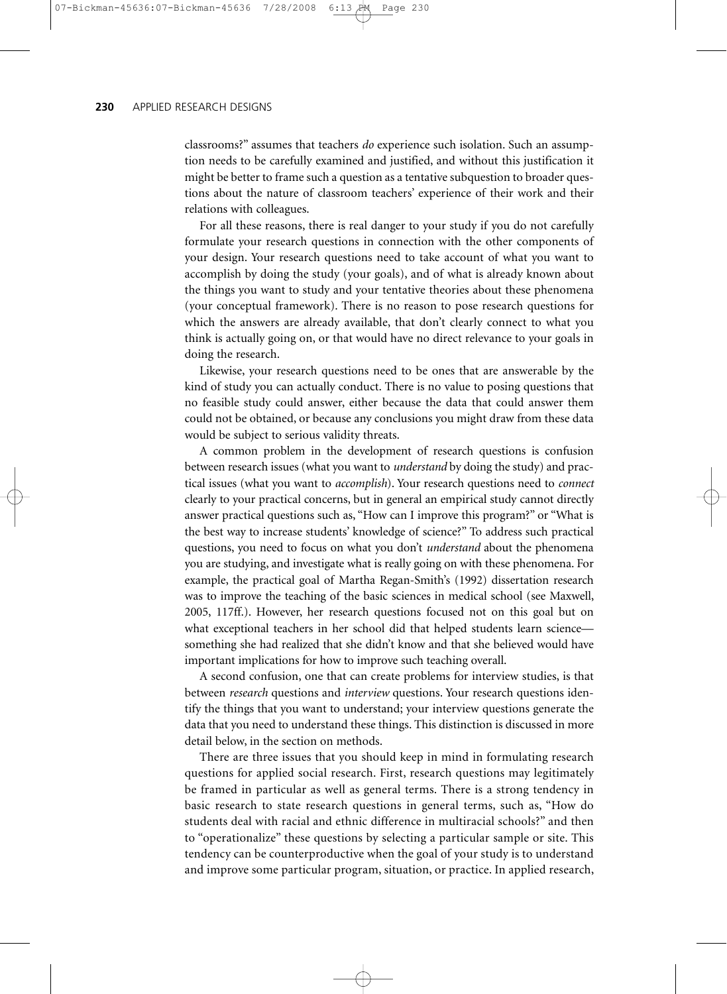classrooms?" assumes that teachers *do* experience such isolation. Such an assumption needs to be carefully examined and justified, and without this justification it might be better to frame such a question as a tentative subquestion to broader questions about the nature of classroom teachers' experience of their work and their relations with colleagues.

For all these reasons, there is real danger to your study if you do not carefully formulate your research questions in connection with the other components of your design. Your research questions need to take account of what you want to accomplish by doing the study (your goals), and of what is already known about the things you want to study and your tentative theories about these phenomena (your conceptual framework). There is no reason to pose research questions for which the answers are already available, that don't clearly connect to what you think is actually going on, or that would have no direct relevance to your goals in doing the research.

Likewise, your research questions need to be ones that are answerable by the kind of study you can actually conduct. There is no value to posing questions that no feasible study could answer, either because the data that could answer them could not be obtained, or because any conclusions you might draw from these data would be subject to serious validity threats.

A common problem in the development of research questions is confusion between research issues (what you want to *understand* by doing the study) and practical issues (what you want to *accomplish*). Your research questions need to *connect* clearly to your practical concerns, but in general an empirical study cannot directly answer practical questions such as, "How can I improve this program?" or "What is the best way to increase students' knowledge of science?" To address such practical questions, you need to focus on what you don't *understand* about the phenomena you are studying, and investigate what is really going on with these phenomena. For example, the practical goal of Martha Regan-Smith's (1992) dissertation research was to improve the teaching of the basic sciences in medical school (see Maxwell, 2005, 117ff.). However, her research questions focused not on this goal but on what exceptional teachers in her school did that helped students learn science something she had realized that she didn't know and that she believed would have important implications for how to improve such teaching overall.

A second confusion, one that can create problems for interview studies, is that between *research* questions and *interview* questions. Your research questions identify the things that you want to understand; your interview questions generate the data that you need to understand these things. This distinction is discussed in more detail below, in the section on methods.

There are three issues that you should keep in mind in formulating research questions for applied social research. First, research questions may legitimately be framed in particular as well as general terms. There is a strong tendency in basic research to state research questions in general terms, such as, "How do students deal with racial and ethnic difference in multiracial schools?" and then to "operationalize" these questions by selecting a particular sample or site. This tendency can be counterproductive when the goal of your study is to understand and improve some particular program, situation, or practice. In applied research,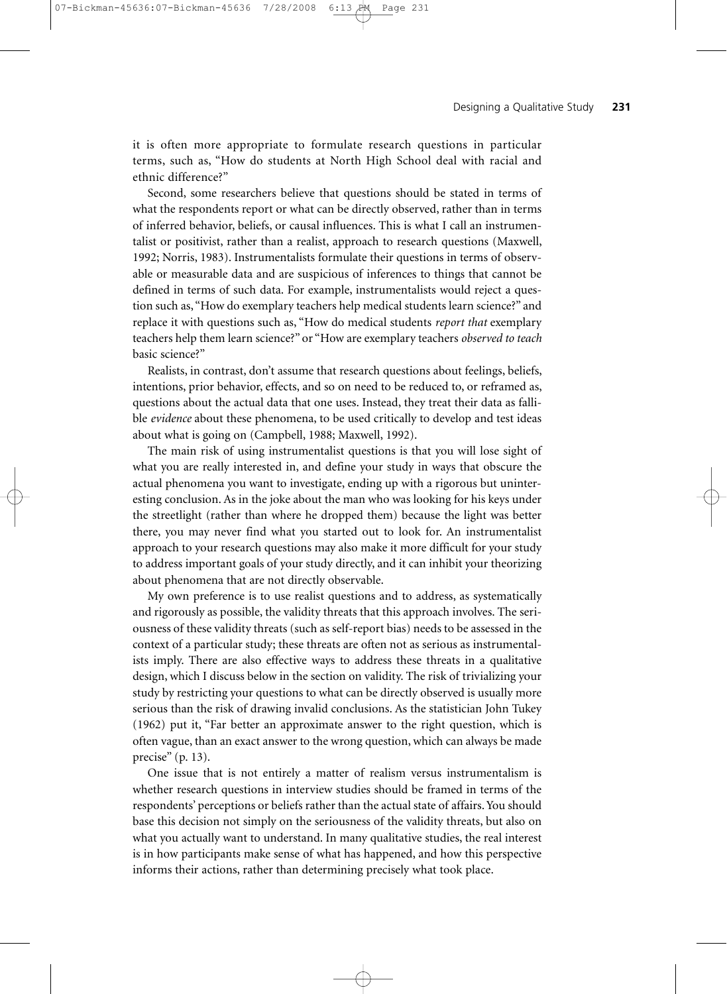it is often more appropriate to formulate research questions in particular terms, such as, "How do students at North High School deal with racial and ethnic difference?"

Second, some researchers believe that questions should be stated in terms of what the respondents report or what can be directly observed, rather than in terms of inferred behavior, beliefs, or causal influences. This is what I call an instrumentalist or positivist, rather than a realist, approach to research questions (Maxwell, 1992; Norris, 1983). Instrumentalists formulate their questions in terms of observable or measurable data and are suspicious of inferences to things that cannot be defined in terms of such data. For example, instrumentalists would reject a question such as, "How do exemplary teachers help medical students learn science?" and replace it with questions such as, "How do medical students *report that* exemplary teachers help them learn science?" or "How are exemplary teachers *observed to teach* basic science?"

Realists, in contrast, don't assume that research questions about feelings, beliefs, intentions, prior behavior, effects, and so on need to be reduced to, or reframed as, questions about the actual data that one uses. Instead, they treat their data as fallible *evidence* about these phenomena, to be used critically to develop and test ideas about what is going on (Campbell, 1988; Maxwell, 1992).

The main risk of using instrumentalist questions is that you will lose sight of what you are really interested in, and define your study in ways that obscure the actual phenomena you want to investigate, ending up with a rigorous but uninteresting conclusion. As in the joke about the man who was looking for his keys under the streetlight (rather than where he dropped them) because the light was better there, you may never find what you started out to look for. An instrumentalist approach to your research questions may also make it more difficult for your study to address important goals of your study directly, and it can inhibit your theorizing about phenomena that are not directly observable.

My own preference is to use realist questions and to address, as systematically and rigorously as possible, the validity threats that this approach involves. The seriousness of these validity threats (such as self-report bias) needs to be assessed in the context of a particular study; these threats are often not as serious as instrumentalists imply. There are also effective ways to address these threats in a qualitative design, which I discuss below in the section on validity. The risk of trivializing your study by restricting your questions to what can be directly observed is usually more serious than the risk of drawing invalid conclusions. As the statistician John Tukey (1962) put it, "Far better an approximate answer to the right question, which is often vague, than an exact answer to the wrong question, which can always be made precise" (p. 13).

One issue that is not entirely a matter of realism versus instrumentalism is whether research questions in interview studies should be framed in terms of the respondents' perceptions or beliefs rather than the actual state of affairs.You should base this decision not simply on the seriousness of the validity threats, but also on what you actually want to understand. In many qualitative studies, the real interest is in how participants make sense of what has happened, and how this perspective informs their actions, rather than determining precisely what took place.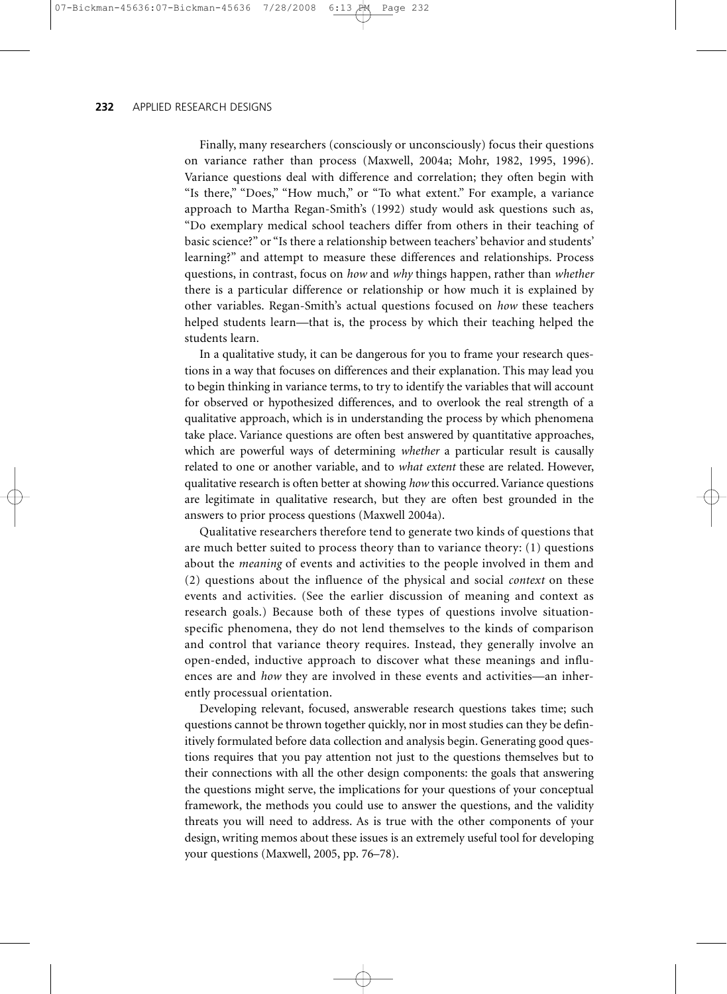Finally, many researchers (consciously or unconsciously) focus their questions on variance rather than process (Maxwell, 2004a; Mohr, 1982, 1995, 1996). Variance questions deal with difference and correlation; they often begin with "Is there," "Does," "How much," or "To what extent." For example, a variance approach to Martha Regan-Smith's (1992) study would ask questions such as, "Do exemplary medical school teachers differ from others in their teaching of basic science?" or "Is there a relationship between teachers' behavior and students' learning?" and attempt to measure these differences and relationships. Process questions, in contrast, focus on *how* and *why* things happen, rather than *whether* there is a particular difference or relationship or how much it is explained by other variables. Regan-Smith's actual questions focused on *how* these teachers helped students learn—that is, the process by which their teaching helped the students learn.

In a qualitative study, it can be dangerous for you to frame your research questions in a way that focuses on differences and their explanation. This may lead you to begin thinking in variance terms, to try to identify the variables that will account for observed or hypothesized differences, and to overlook the real strength of a qualitative approach, which is in understanding the process by which phenomena take place. Variance questions are often best answered by quantitative approaches, which are powerful ways of determining *whether* a particular result is causally related to one or another variable, and to *what extent* these are related. However, qualitative research is often better at showing *how* this occurred.Variance questions are legitimate in qualitative research, but they are often best grounded in the answers to prior process questions (Maxwell 2004a).

Qualitative researchers therefore tend to generate two kinds of questions that are much better suited to process theory than to variance theory: (1) questions about the *meaning* of events and activities to the people involved in them and (2) questions about the influence of the physical and social *context* on these events and activities. (See the earlier discussion of meaning and context as research goals.) Because both of these types of questions involve situationspecific phenomena, they do not lend themselves to the kinds of comparison and control that variance theory requires. Instead, they generally involve an open-ended, inductive approach to discover what these meanings and influences are and *how* they are involved in these events and activities—an inherently processual orientation.

Developing relevant, focused, answerable research questions takes time; such questions cannot be thrown together quickly, nor in most studies can they be definitively formulated before data collection and analysis begin. Generating good questions requires that you pay attention not just to the questions themselves but to their connections with all the other design components: the goals that answering the questions might serve, the implications for your questions of your conceptual framework, the methods you could use to answer the questions, and the validity threats you will need to address. As is true with the other components of your design, writing memos about these issues is an extremely useful tool for developing your questions (Maxwell, 2005, pp. 76–78).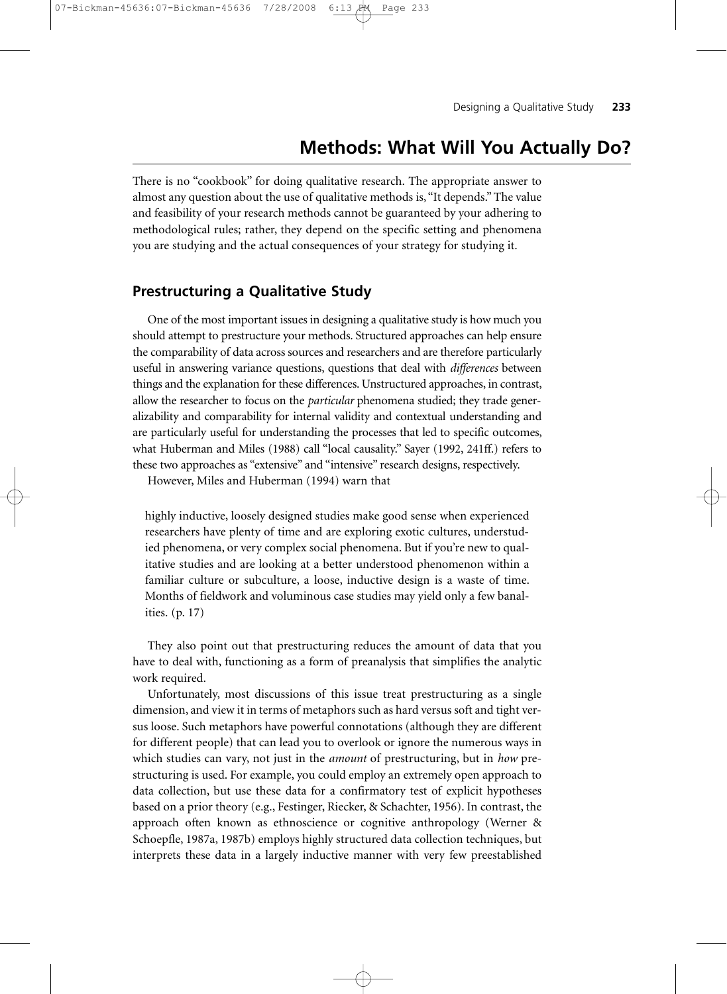# **Methods: What Will You Actually Do?**

There is no "cookbook" for doing qualitative research. The appropriate answer to almost any question about the use of qualitative methods is, "It depends."The value and feasibility of your research methods cannot be guaranteed by your adhering to methodological rules; rather, they depend on the specific setting and phenomena you are studying and the actual consequences of your strategy for studying it.

# **Prestructuring a Qualitative Study**

One of the most important issues in designing a qualitative study is how much you should attempt to prestructure your methods. Structured approaches can help ensure the comparability of data across sources and researchers and are therefore particularly useful in answering variance questions, questions that deal with *differences* between things and the explanation for these differences. Unstructured approaches, in contrast, allow the researcher to focus on the *particular* phenomena studied; they trade generalizability and comparability for internal validity and contextual understanding and are particularly useful for understanding the processes that led to specific outcomes, what Huberman and Miles (1988) call "local causality." Sayer (1992, 241ff.) refers to these two approaches as "extensive" and "intensive" research designs, respectively.

However, Miles and Huberman (1994) warn that

highly inductive, loosely designed studies make good sense when experienced researchers have plenty of time and are exploring exotic cultures, understudied phenomena, or very complex social phenomena. But if you're new to qualitative studies and are looking at a better understood phenomenon within a familiar culture or subculture, a loose, inductive design is a waste of time. Months of fieldwork and voluminous case studies may yield only a few banalities. (p. 17)

They also point out that prestructuring reduces the amount of data that you have to deal with, functioning as a form of preanalysis that simplifies the analytic work required.

Unfortunately, most discussions of this issue treat prestructuring as a single dimension, and view it in terms of metaphors such as hard versus soft and tight versus loose. Such metaphors have powerful connotations (although they are different for different people) that can lead you to overlook or ignore the numerous ways in which studies can vary, not just in the *amount* of prestructuring, but in *how* prestructuring is used. For example, you could employ an extremely open approach to data collection, but use these data for a confirmatory test of explicit hypotheses based on a prior theory (e.g., Festinger, Riecker, & Schachter, 1956). In contrast, the approach often known as ethnoscience or cognitive anthropology (Werner & Schoepfle, 1987a, 1987b) employs highly structured data collection techniques, but interprets these data in a largely inductive manner with very few preestablished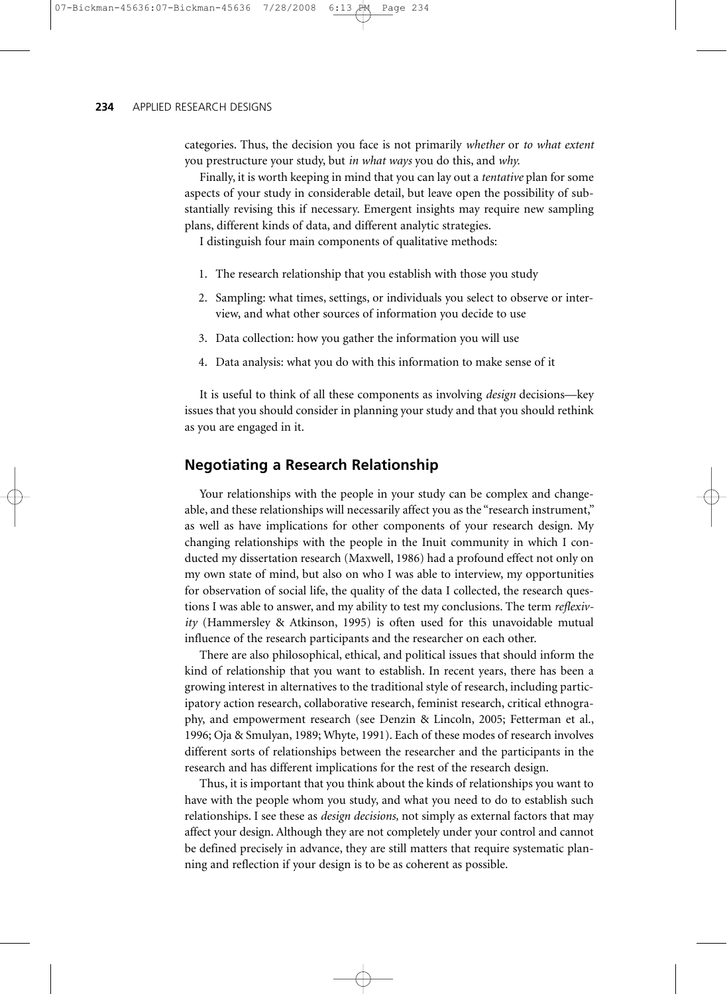categories. Thus, the decision you face is not primarily *whether* or *to what extent* you prestructure your study, but *in what ways* you do this, and *why.*

Finally, it is worth keeping in mind that you can lay out a *tentative* plan for some aspects of your study in considerable detail, but leave open the possibility of substantially revising this if necessary. Emergent insights may require new sampling plans, different kinds of data, and different analytic strategies.

I distinguish four main components of qualitative methods:

- 1. The research relationship that you establish with those you study
- 2. Sampling: what times, settings, or individuals you select to observe or interview, and what other sources of information you decide to use
- 3. Data collection: how you gather the information you will use
- 4. Data analysis: what you do with this information to make sense of it

It is useful to think of all these components as involving *design* decisions—key issues that you should consider in planning your study and that you should rethink as you are engaged in it.

# **Negotiating a Research Relationship**

Your relationships with the people in your study can be complex and changeable, and these relationships will necessarily affect you as the "research instrument," as well as have implications for other components of your research design. My changing relationships with the people in the Inuit community in which I conducted my dissertation research (Maxwell, 1986) had a profound effect not only on my own state of mind, but also on who I was able to interview, my opportunities for observation of social life, the quality of the data I collected, the research questions I was able to answer, and my ability to test my conclusions. The term *reflexivity* (Hammersley & Atkinson, 1995) is often used for this unavoidable mutual influence of the research participants and the researcher on each other.

There are also philosophical, ethical, and political issues that should inform the kind of relationship that you want to establish. In recent years, there has been a growing interest in alternatives to the traditional style of research, including participatory action research, collaborative research, feminist research, critical ethnography, and empowerment research (see Denzin & Lincoln, 2005; Fetterman et al., 1996; Oja & Smulyan, 1989; Whyte, 1991). Each of these modes of research involves different sorts of relationships between the researcher and the participants in the research and has different implications for the rest of the research design.

Thus, it is important that you think about the kinds of relationships you want to have with the people whom you study, and what you need to do to establish such relationships. I see these as *design decisions,* not simply as external factors that may affect your design. Although they are not completely under your control and cannot be defined precisely in advance, they are still matters that require systematic planning and reflection if your design is to be as coherent as possible.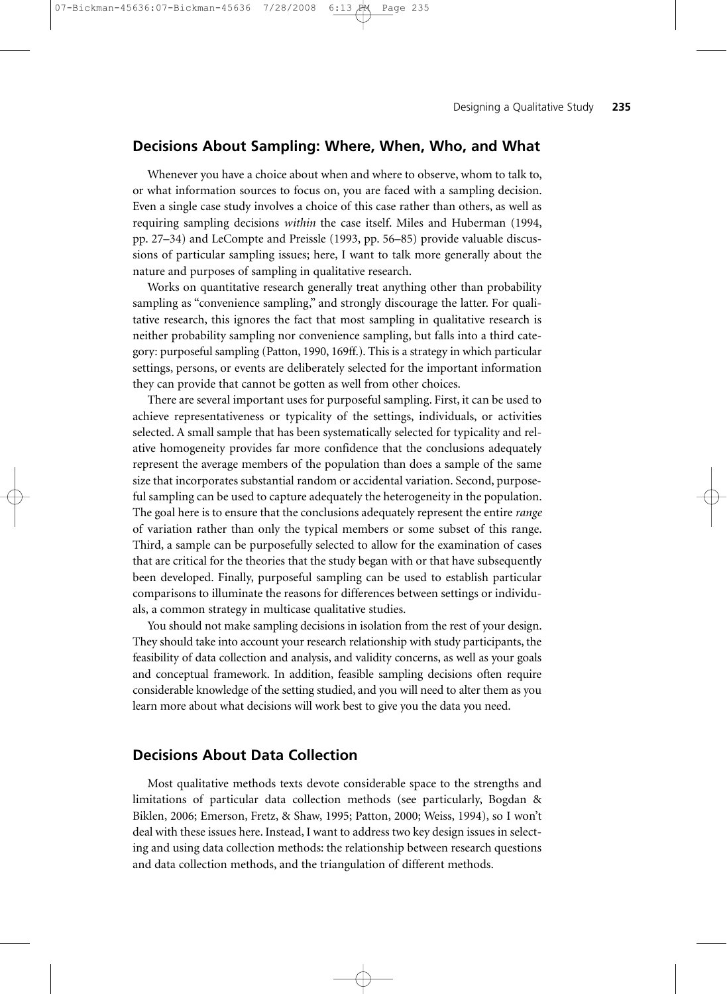# **Decisions About Sampling: Where, When, Who, and What**

Whenever you have a choice about when and where to observe, whom to talk to, or what information sources to focus on, you are faced with a sampling decision. Even a single case study involves a choice of this case rather than others, as well as requiring sampling decisions *within* the case itself. Miles and Huberman (1994, pp. 27–34) and LeCompte and Preissle (1993, pp. 56–85) provide valuable discussions of particular sampling issues; here, I want to talk more generally about the nature and purposes of sampling in qualitative research.

Works on quantitative research generally treat anything other than probability sampling as "convenience sampling," and strongly discourage the latter. For qualitative research, this ignores the fact that most sampling in qualitative research is neither probability sampling nor convenience sampling, but falls into a third category: purposeful sampling (Patton, 1990, 169ff.). This is a strategy in which particular settings, persons, or events are deliberately selected for the important information they can provide that cannot be gotten as well from other choices.

There are several important uses for purposeful sampling. First, it can be used to achieve representativeness or typicality of the settings, individuals, or activities selected. A small sample that has been systematically selected for typicality and relative homogeneity provides far more confidence that the conclusions adequately represent the average members of the population than does a sample of the same size that incorporates substantial random or accidental variation. Second, purposeful sampling can be used to capture adequately the heterogeneity in the population. The goal here is to ensure that the conclusions adequately represent the entire *range* of variation rather than only the typical members or some subset of this range. Third, a sample can be purposefully selected to allow for the examination of cases that are critical for the theories that the study began with or that have subsequently been developed. Finally, purposeful sampling can be used to establish particular comparisons to illuminate the reasons for differences between settings or individuals, a common strategy in multicase qualitative studies.

You should not make sampling decisions in isolation from the rest of your design. They should take into account your research relationship with study participants, the feasibility of data collection and analysis, and validity concerns, as well as your goals and conceptual framework. In addition, feasible sampling decisions often require considerable knowledge of the setting studied, and you will need to alter them as you learn more about what decisions will work best to give you the data you need.

# **Decisions About Data Collection**

Most qualitative methods texts devote considerable space to the strengths and limitations of particular data collection methods (see particularly, Bogdan & Biklen, 2006; Emerson, Fretz, & Shaw, 1995; Patton, 2000; Weiss, 1994), so I won't deal with these issues here. Instead, I want to address two key design issues in selecting and using data collection methods: the relationship between research questions and data collection methods, and the triangulation of different methods.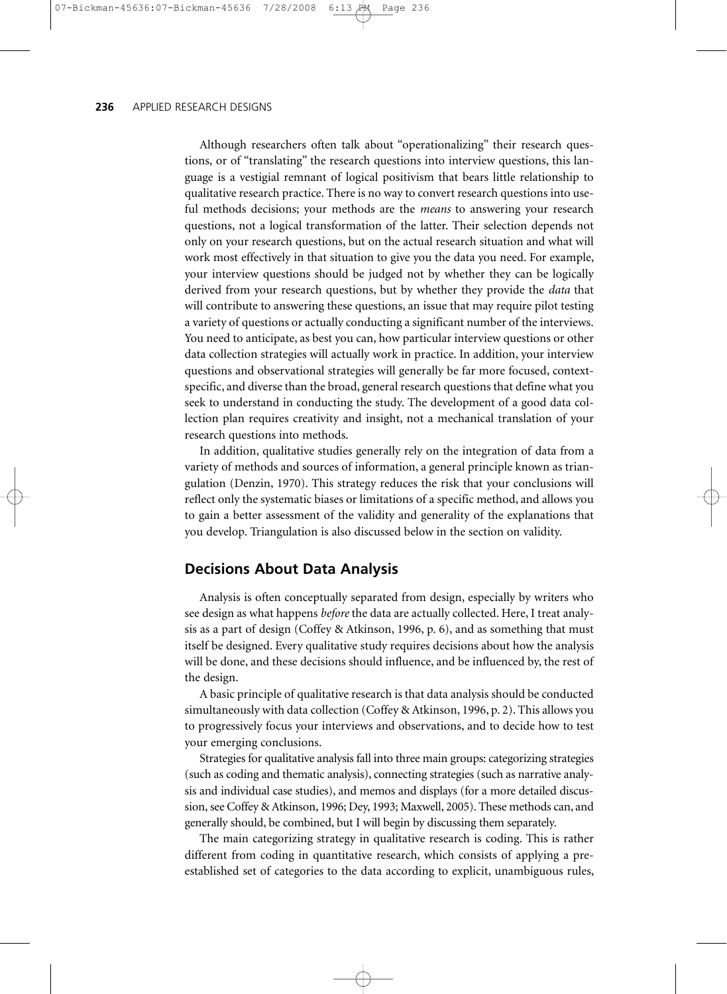Although researchers often talk about "operationalizing" their research questions, or of "translating" the research questions into interview questions, this language is a vestigial remnant of logical positivism that bears little relationship to qualitative research practice. There is no way to convert research questions into useful methods decisions; your methods are the *means* to answering your research questions, not a logical transformation of the latter. Their selection depends not only on your research questions, but on the actual research situation and what will work most effectively in that situation to give you the data you need. For example, your interview questions should be judged not by whether they can be logically derived from your research questions, but by whether they provide the *data* that will contribute to answering these questions, an issue that may require pilot testing a variety of questions or actually conducting a significant number of the interviews. You need to anticipate, as best you can, how particular interview questions or other data collection strategies will actually work in practice. In addition, your interview questions and observational strategies will generally be far more focused, contextspecific, and diverse than the broad, general research questions that define what you seek to understand in conducting the study. The development of a good data collection plan requires creativity and insight, not a mechanical translation of your research questions into methods.

In addition, qualitative studies generally rely on the integration of data from a variety of methods and sources of information, a general principle known as triangulation (Denzin, 1970). This strategy reduces the risk that your conclusions will reflect only the systematic biases or limitations of a specific method, and allows you to gain a better assessment of the validity and generality of the explanations that you develop. Triangulation is also discussed below in the section on validity.

# **Decisions About Data Analysis**

Analysis is often conceptually separated from design, especially by writers who see design as what happens *before* the data are actually collected. Here, I treat analysis as a part of design (Coffey & Atkinson, 1996, p. 6), and as something that must itself be designed. Every qualitative study requires decisions about how the analysis will be done, and these decisions should influence, and be influenced by, the rest of the design.

A basic principle of qualitative research is that data analysis should be conducted simultaneously with data collection (Coffey & Atkinson, 1996, p. 2). This allows you to progressively focus your interviews and observations, and to decide how to test your emerging conclusions.

Strategies for qualitative analysis fall into three main groups: categorizing strategies (such as coding and thematic analysis), connecting strategies (such as narrative analysis and individual case studies), and memos and displays (for a more detailed discussion, see Coffey & Atkinson, 1996; Dey, 1993; Maxwell, 2005). These methods can, and generally should, be combined, but I will begin by discussing them separately.

The main categorizing strategy in qualitative research is coding. This is rather different from coding in quantitative research, which consists of applying a preestablished set of categories to the data according to explicit, unambiguous rules,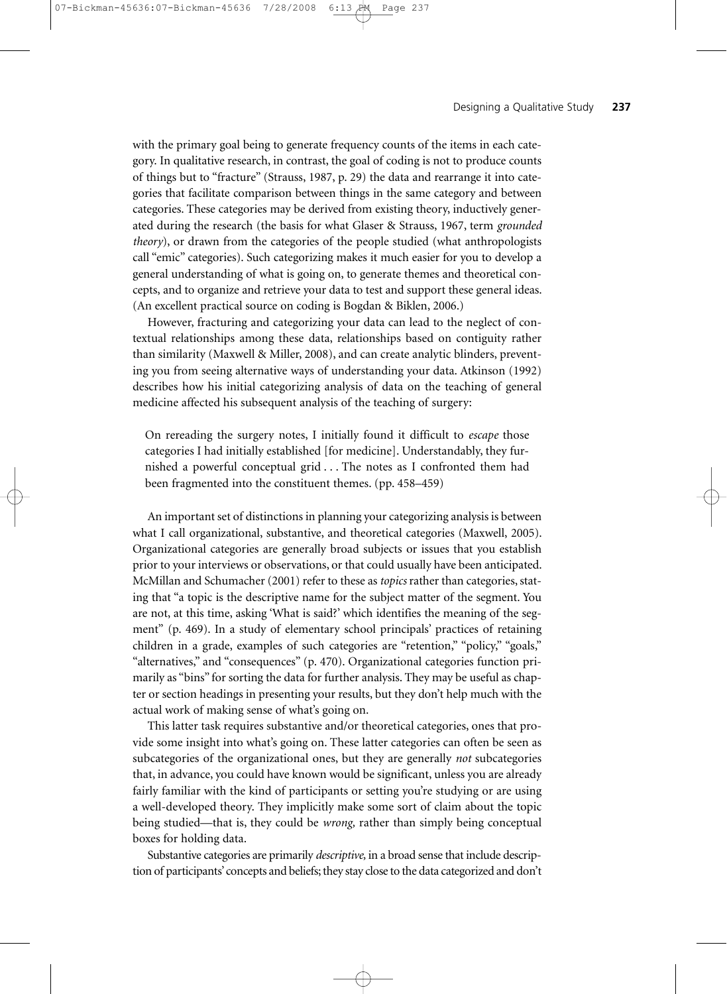with the primary goal being to generate frequency counts of the items in each category. In qualitative research, in contrast, the goal of coding is not to produce counts of things but to "fracture" (Strauss, 1987, p. 29) the data and rearrange it into categories that facilitate comparison between things in the same category and between categories. These categories may be derived from existing theory, inductively generated during the research (the basis for what Glaser & Strauss, 1967, term *grounded theory*), or drawn from the categories of the people studied (what anthropologists call "emic" categories). Such categorizing makes it much easier for you to develop a general understanding of what is going on, to generate themes and theoretical concepts, and to organize and retrieve your data to test and support these general ideas. (An excellent practical source on coding is Bogdan & Biklen, 2006.)

However, fracturing and categorizing your data can lead to the neglect of contextual relationships among these data, relationships based on contiguity rather than similarity (Maxwell & Miller, 2008), and can create analytic blinders, preventing you from seeing alternative ways of understanding your data. Atkinson (1992) describes how his initial categorizing analysis of data on the teaching of general medicine affected his subsequent analysis of the teaching of surgery:

On rereading the surgery notes, I initially found it difficult to *escape* those categories I had initially established [for medicine]. Understandably, they furnished a powerful conceptual grid ... The notes as I confronted them had been fragmented into the constituent themes. (pp. 458–459)

An important set of distinctions in planning your categorizing analysis is between what I call organizational, substantive, and theoretical categories (Maxwell, 2005). Organizational categories are generally broad subjects or issues that you establish prior to your interviews or observations, or that could usually have been anticipated. McMillan and Schumacher (2001) refer to these as *topics* rather than categories, stating that "a topic is the descriptive name for the subject matter of the segment. You are not, at this time, asking 'What is said?' which identifies the meaning of the segment" (p. 469). In a study of elementary school principals' practices of retaining children in a grade, examples of such categories are "retention," "policy," "goals," "alternatives," and "consequences" (p. 470). Organizational categories function primarily as "bins" for sorting the data for further analysis. They may be useful as chapter or section headings in presenting your results, but they don't help much with the actual work of making sense of what's going on.

This latter task requires substantive and/or theoretical categories, ones that provide some insight into what's going on. These latter categories can often be seen as subcategories of the organizational ones, but they are generally *not* subcategories that, in advance, you could have known would be significant, unless you are already fairly familiar with the kind of participants or setting you're studying or are using a well-developed theory. They implicitly make some sort of claim about the topic being studied—that is, they could be *wrong,* rather than simply being conceptual boxes for holding data.

Substantive categories are primarily *descriptive,* in a broad sense that include description of participants' concepts and beliefs; they stay close to the data categorized and don't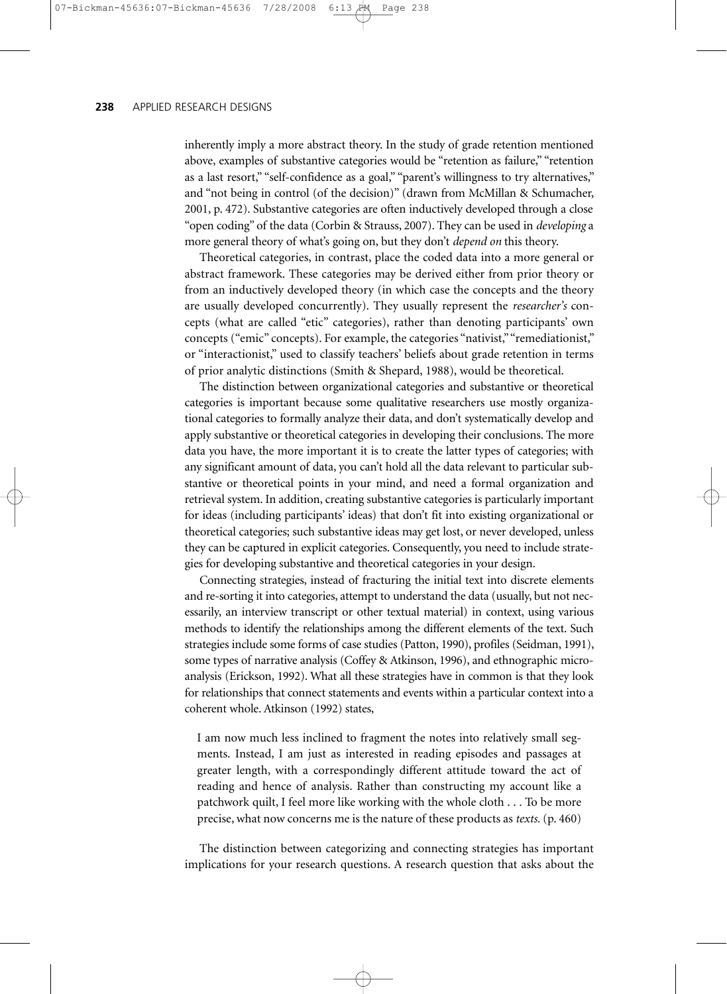inherently imply a more abstract theory. In the study of grade retention mentioned above, examples of substantive categories would be "retention as failure," "retention as a last resort," "self-confidence as a goal," "parent's willingness to try alternatives," and "not being in control (of the decision)" (drawn from McMillan & Schumacher, 2001, p. 472). Substantive categories are often inductively developed through a close "open coding" of the data (Corbin & Strauss, 2007). They can be used in *developing* a more general theory of what's going on, but they don't *depend on* this theory.

Theoretical categories, in contrast, place the coded data into a more general or abstract framework. These categories may be derived either from prior theory or from an inductively developed theory (in which case the concepts and the theory are usually developed concurrently). They usually represent the *researcher's* concepts (what are called "etic" categories), rather than denoting participants' own concepts ("emic" concepts). For example, the categories "nativist,""remediationist," or "interactionist," used to classify teachers' beliefs about grade retention in terms of prior analytic distinctions (Smith & Shepard, 1988), would be theoretical.

The distinction between organizational categories and substantive or theoretical categories is important because some qualitative researchers use mostly organizational categories to formally analyze their data, and don't systematically develop and apply substantive or theoretical categories in developing their conclusions. The more data you have, the more important it is to create the latter types of categories; with any significant amount of data, you can't hold all the data relevant to particular substantive or theoretical points in your mind, and need a formal organization and retrieval system. In addition, creating substantive categories is particularly important for ideas (including participants' ideas) that don't fit into existing organizational or theoretical categories; such substantive ideas may get lost, or never developed, unless they can be captured in explicit categories. Consequently, you need to include strategies for developing substantive and theoretical categories in your design.

Connecting strategies, instead of fracturing the initial text into discrete elements and re-sorting it into categories, attempt to understand the data (usually, but not necessarily, an interview transcript or other textual material) in context, using various methods to identify the relationships among the different elements of the text. Such strategies include some forms of case studies (Patton, 1990), profiles (Seidman, 1991), some types of narrative analysis (Coffey & Atkinson, 1996), and ethnographic microanalysis (Erickson, 1992). What all these strategies have in common is that they look for relationships that connect statements and events within a particular context into a coherent whole. Atkinson (1992) states,

I am now much less inclined to fragment the notes into relatively small segments. Instead, I am just as interested in reading episodes and passages at greater length, with a correspondingly different attitude toward the act of reading and hence of analysis. Rather than constructing my account like a patchwork quilt, I feel more like working with the whole cloth ... To be more precise, what now concerns me is the nature of these products as *texts.* (p. 460)

The distinction between categorizing and connecting strategies has important implications for your research questions. A research question that asks about the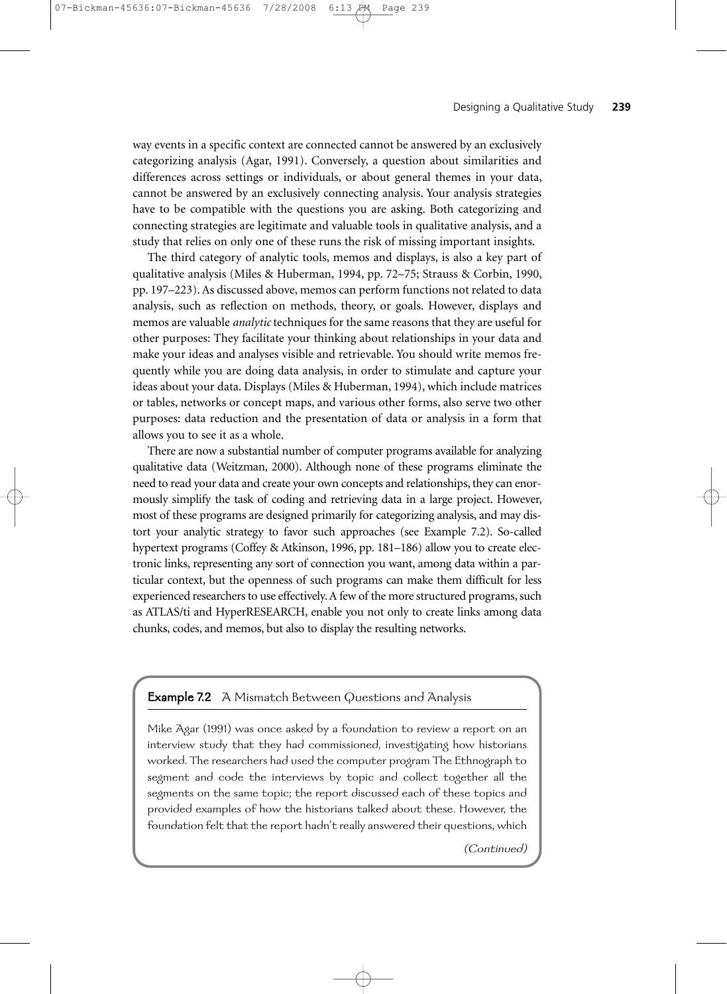way events in a specific context are connected cannot be answered by an exclusively categorizing analysis (Agar, 1991). Conversely, a question about similarities and differences across settings or individuals, or about general themes in your data, cannot be answered by an exclusively connecting analysis. Your analysis strategies have to be compatible with the questions you are asking. Both categorizing and connecting strategies are legitimate and valuable tools in qualitative analysis, and a study that relies on only one of these runs the risk of missing important insights.

The third category of analytic tools, memos and displays, is also a key part of qualitative analysis (Miles & Huberman, 1994, pp. 72–75; Strauss & Corbin, 1990, pp. 197–223).As discussed above, memos can perform functions not related to data analysis, such as reflection on methods, theory, or goals. However, displays and memos are valuable *analytic* techniques for the same reasons that they are useful for other purposes: They facilitate your thinking about relationships in your data and make your ideas and analyses visible and retrievable. You should write memos frequently while you are doing data analysis, in order to stimulate and capture your ideas about your data. Displays (Miles & Huberman, 1994), which include matrices or tables, networks or concept maps, and various other forms, also serve two other purposes: data reduction and the presentation of data or analysis in a form that allows you to see it as a whole.

There are now a substantial number of computer programs available for analyzing qualitative data (Weitzman, 2000). Although none of these programs eliminate the need to read your data and create your own concepts and relationships, they can enormously simplify the task of coding and retrieving data in a large project. However, most of these programs are designed primarily for categorizing analysis, and may distort your analytic strategy to favor such approaches (see Example 7.2). So-called hypertext programs (Coffey & Atkinson, 1996, pp. 181–186) allow you to create electronic links, representing any sort of connection you want, among data within a particular context, but the openness of such programs can make them difficult for less experienced researchers to use effectively. A few of the more structured programs, such as ATLAS/ti and HyperRESEARCH, enable you not only to create links among data chunks, codes, and memos, but also to display the resulting networks.

# **Example 7.2** A Mismatch Between Questions and Analysis

Mike Agar (1991) was once asked by a foundation to review a report on an interview study that they had commissioned, investigating how historians worked. The researchers had used the computer program The Ethnograph to segment and code the interviews by topic and collect together all the segments on the same topic; the report discussed each of these topics and provided examples of how the historians talked about these. However, the foundation felt that the report hadn't really answered their questions, which

(Continued)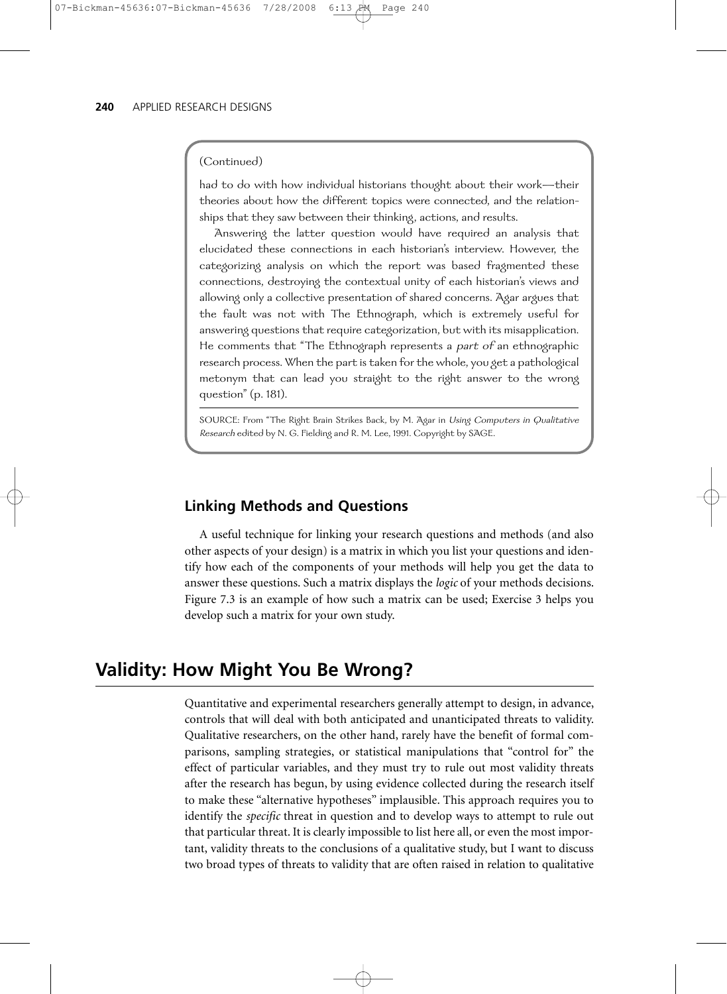### (Continued)

had to do with how individual historians thought about their work—their theories about how the different topics were connected, and the relationships that they saw between their thinking, actions, and results.

Answering the latter question would have required an analysis that elucidated these connections in each historian's interview. However, the categorizing analysis on which the report was based fragmented these connections, destroying the contextual unity of each historian's views and allowing only a collective presentation of shared concerns. Agar argues that the fault was not with The Ethnograph, which is extremely useful for answering questions that require categorization, but with its misapplication. He comments that "The Ethnograph represents a part of an ethnographic research process. When the part is taken for the whole, you get a pathological metonym that can lead you straight to the right answer to the wrong question" (p. 181).

SOURCE: From "The Right Brain Strikes Back, by M. Agar in Using Computers in Qualitative Research edited by N. G. Fielding and R. M. Lee, 1991. Copyright by SAGE.

# **Linking Methods and Questions**

A useful technique for linking your research questions and methods (and also other aspects of your design) is a matrix in which you list your questions and identify how each of the components of your methods will help you get the data to answer these questions. Such a matrix displays the *logic* of your methods decisions. Figure 7.3 is an example of how such a matrix can be used; Exercise 3 helps you develop such a matrix for your own study.

# **Validity: How Might You Be Wrong?**

Quantitative and experimental researchers generally attempt to design, in advance, controls that will deal with both anticipated and unanticipated threats to validity. Qualitative researchers, on the other hand, rarely have the benefit of formal comparisons, sampling strategies, or statistical manipulations that "control for" the effect of particular variables, and they must try to rule out most validity threats after the research has begun, by using evidence collected during the research itself to make these "alternative hypotheses" implausible. This approach requires you to identify the *specific* threat in question and to develop ways to attempt to rule out that particular threat. It is clearly impossible to list here all, or even the most important, validity threats to the conclusions of a qualitative study, but I want to discuss two broad types of threats to validity that are often raised in relation to qualitative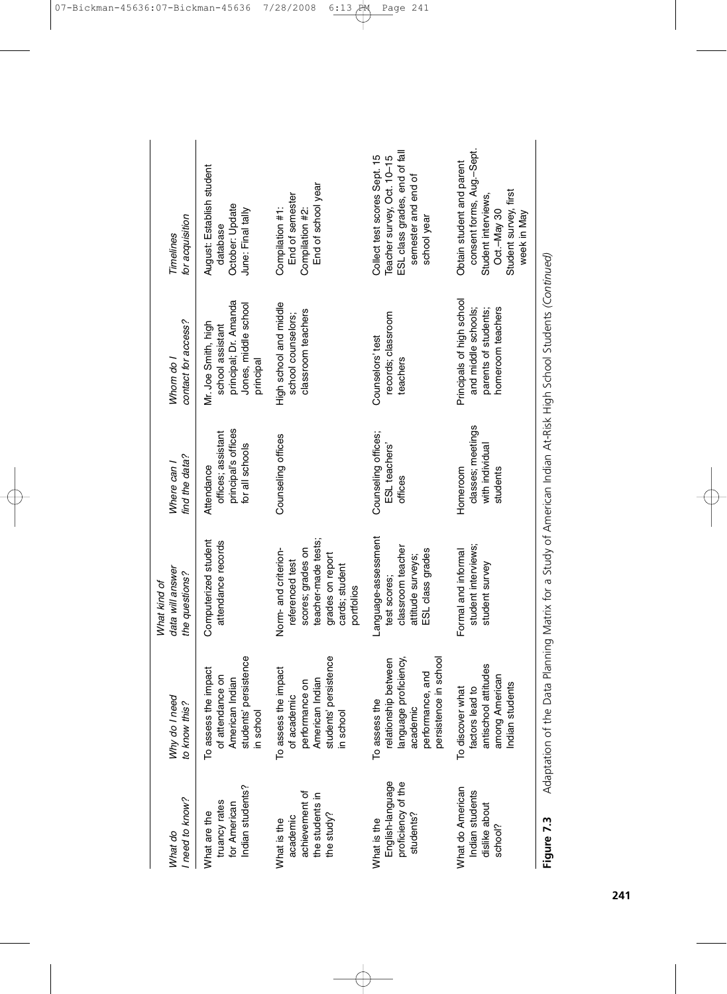| I need to know?<br>What do                                                 | Why do I need<br>to know this?                                                                                             | data will answer<br>the questions?<br>What kind of                                                                                     | find the data?<br>Where can I                                              | contact for access?<br>Whom do I                                                                      | for acquisition<br>Timelines                                                                                                         |
|----------------------------------------------------------------------------|----------------------------------------------------------------------------------------------------------------------------|----------------------------------------------------------------------------------------------------------------------------------------|----------------------------------------------------------------------------|-------------------------------------------------------------------------------------------------------|--------------------------------------------------------------------------------------------------------------------------------------|
| Indian students?<br>truancy rates<br>for American<br>What are the          | students' persistence<br>mpact<br>of attendance on<br>American Indian<br>To assess the in<br>in school                     | Computerized student<br>attendance records                                                                                             | principal's offices<br>offices; assistant<br>for all schools<br>Attendance | principal; Dr. Amanda<br>Jones, middle school<br>Mr. Joe Smith, high<br>school assistant<br>principal | August: Establish student<br>October: Update<br>June: Final tally<br>database                                                        |
| achievement of<br>the students in<br>the study?<br>academic<br>What is the | students' persistence<br>To assess the impact<br>American Indian<br>performance on<br>of academic<br>in school             | teacher-made tests;<br>scores; grades on<br>Norm-and criterion-<br>grades on report<br>referenced test<br>cards; student<br>portfolios | Counseling offices                                                         | High school and middle<br>classroom teachers<br>school counselors;                                    | End of school year<br>End of semester<br>Compilation #1:<br>Compilation #2:                                                          |
| English-language<br>proficiency of the<br>students?<br>What is the         | language proficiency,<br>persistence in school<br>relationship between<br>and<br>performance,<br>To assess the<br>academic | Language-assessment<br>classroom teacher<br>ESL class grades<br>attitude surveys;<br>test scores;                                      | Counseling offices;<br>ESL teachers'<br>offices                            | records; classroom<br>Counselors' test<br>teachers                                                    | ESL class grades, end of fall<br>Collect test scores Sept. 15<br>Teacher survey, Oct. 10-15<br>semester and end of<br>school year    |
| What do American<br>Indian students<br>dislike about<br>school?            | antischool attitudes<br>among American<br>Indian students<br>$\overline{5}$<br>To discover what<br>factors lead            | student interviews;<br>Formal and informal<br>student survey                                                                           | classes; meetings<br>with individual<br>Homeroom<br>students               | Principals of high school<br>homeroom teachers<br>and middle schools;<br>parents of students;         | consent forms, Aug.-Sept.<br>Obtain student and parent<br>Student survey, first<br>Student interviews,<br>Oct.-May 30<br>week in May |
| Figure 7.3                                                                 | Adaptation of the Data Planning Matrix for a Study of American Indian At-Risk High School Students (Co <i>ntinued)</i>     |                                                                                                                                        |                                                                            |                                                                                                       |                                                                                                                                      |

 $\oplus$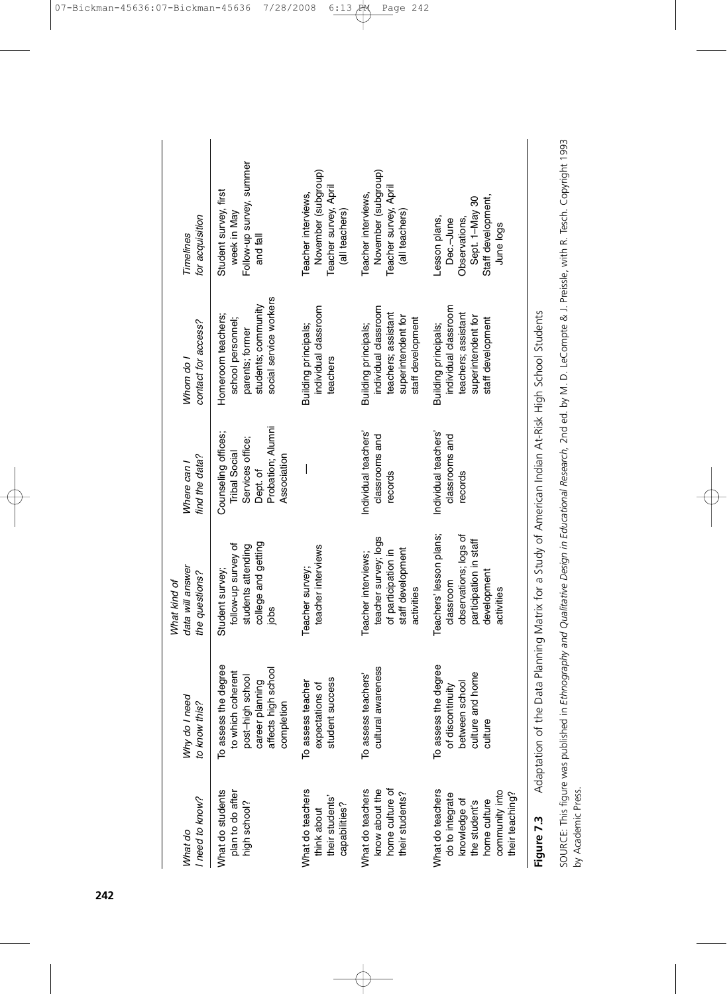| I need to know?<br>What do                                                                                                | Why do I need<br>to know this?                                                                                        | data will answer<br>the questions?<br>What kind of                                                                   | find the data?<br>Where can I                                                                                   | contact for access?<br>Whom do I                                                                               | for acquisition<br>Timelines                                                                     |  |
|---------------------------------------------------------------------------------------------------------------------------|-----------------------------------------------------------------------------------------------------------------------|----------------------------------------------------------------------------------------------------------------------|-----------------------------------------------------------------------------------------------------------------|----------------------------------------------------------------------------------------------------------------|--------------------------------------------------------------------------------------------------|--|
| What do students<br>plan to do after<br>high school?                                                                      | To assess the degree<br>career planning<br>affects high school<br>to which coherent<br>post-high school<br>completion | college and getting<br>follow-up survey of<br>students attending<br>Student survey;<br>iobs                          | Probation; Alumni<br>Counseling offices;<br>Services office;<br><b>Tribal Social</b><br>Association<br>Dept. of | social service workers<br>students; community<br>Homeroom teachers;<br>school personnel;<br>parents; former    | Follow-up survey, summer<br>Student survey, first<br>week in May<br>and fall                     |  |
| What do teachers<br>their students'<br>capabilities?<br>think about                                                       | student success<br>To assess teacher<br>expectations of                                                               | teacher interviews<br>Teacher survey;                                                                                |                                                                                                                 | individual classroom<br>Building principals;<br>teachers                                                       | November (subgroup)<br>Teacher survey, April<br>Teacher interviews,<br>(all teachers)            |  |
| home culture of<br>know about the<br>What do teachers<br>their students?                                                  | cultural awareness<br>To assess teachers'                                                                             | teacher survey; logs<br>staff development<br>of participation in<br>Teacher interviews;<br>activities                | Individual teachers'<br>classrooms and<br>records                                                               | individual classroom<br>teachers; assistant<br>superintendent for<br>staff development<br>Building principals; | November (subgroup)<br>Teacher survey, April<br>Teacher interviews,<br>(all teachers)            |  |
| What do teachers<br>community into<br>their teaching?<br>do to integrate<br>home culture<br>knowledge of<br>the student's | To assess the degree<br>culture and home<br>between school<br>of discontinuity<br>culture                             | Teachers' lesson plans;<br>observations; logs of<br>participation in staff<br>development<br>classroom<br>activities | Individual teachers'<br>classrooms and<br>records                                                               | individual classroom<br>teachers; assistant<br>superintendent for<br>staff development<br>Building principals; | Staff development,<br>Sept. 1-May 30<br>Lesson plans,<br>Observations,<br>Dec.-June<br>June logs |  |
| Figure 7.3                                                                                                                |                                                                                                                       | Adaptation of the Data Planning Matrix for a Study of American Indian At-Risk High School Students                   |                                                                                                                 |                                                                                                                |                                                                                                  |  |

 $\overline{\varphi}$ 

יישבורגייט אישראפארייט בווי בעבר וייווייש וייווייש וייווייש בעבר אי אוייווייט וייווייט וייווייש וייש באיירייט<br>SOURCE: This figure was published in *Ethnography and Qualitative Design in Educational Research,* 2nd ed. by M SOURCE: This figure was published in *Ethnography and Qualitative Design in Educational Research,* 2nd ed. by M. D. LeCompte & J. Preissle, with R. Tesch. Copyright 1993 by Academic Press.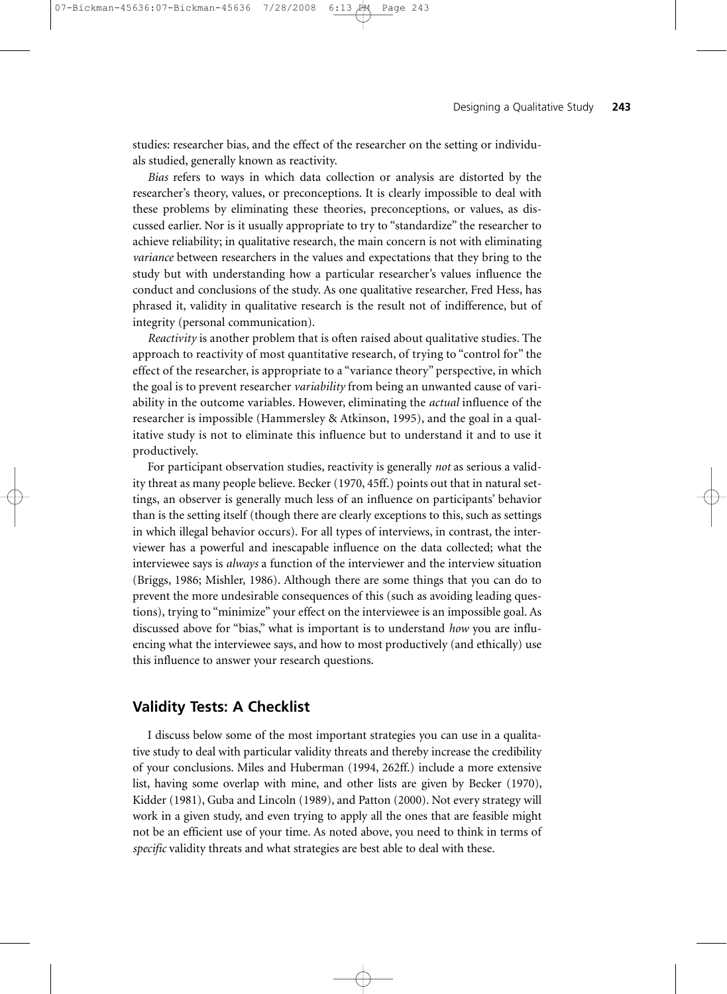studies: researcher bias, and the effect of the researcher on the setting or individuals studied, generally known as reactivity.

*Bias* refers to ways in which data collection or analysis are distorted by the researcher's theory, values, or preconceptions. It is clearly impossible to deal with these problems by eliminating these theories, preconceptions, or values, as discussed earlier. Nor is it usually appropriate to try to "standardize" the researcher to achieve reliability; in qualitative research, the main concern is not with eliminating *variance* between researchers in the values and expectations that they bring to the study but with understanding how a particular researcher's values influence the conduct and conclusions of the study. As one qualitative researcher, Fred Hess, has phrased it, validity in qualitative research is the result not of indifference, but of integrity (personal communication).

*Reactivity* is another problem that is often raised about qualitative studies. The approach to reactivity of most quantitative research, of trying to "control for" the effect of the researcher, is appropriate to a "variance theory" perspective, in which the goal is to prevent researcher *variability* from being an unwanted cause of variability in the outcome variables. However, eliminating the *actual* influence of the researcher is impossible (Hammersley & Atkinson, 1995), and the goal in a qualitative study is not to eliminate this influence but to understand it and to use it productively.

For participant observation studies, reactivity is generally *not* as serious a validity threat as many people believe. Becker (1970, 45ff.) points out that in natural settings, an observer is generally much less of an influence on participants' behavior than is the setting itself (though there are clearly exceptions to this, such as settings in which illegal behavior occurs). For all types of interviews, in contrast, the interviewer has a powerful and inescapable influence on the data collected; what the interviewee says is *always* a function of the interviewer and the interview situation (Briggs, 1986; Mishler, 1986). Although there are some things that you can do to prevent the more undesirable consequences of this (such as avoiding leading questions), trying to "minimize" your effect on the interviewee is an impossible goal. As discussed above for "bias," what is important is to understand *how* you are influencing what the interviewee says, and how to most productively (and ethically) use this influence to answer your research questions.

# **Validity Tests: A Checklist**

I discuss below some of the most important strategies you can use in a qualitative study to deal with particular validity threats and thereby increase the credibility of your conclusions. Miles and Huberman (1994, 262ff.) include a more extensive list, having some overlap with mine, and other lists are given by Becker (1970), Kidder (1981), Guba and Lincoln (1989), and Patton (2000). Not every strategy will work in a given study, and even trying to apply all the ones that are feasible might not be an efficient use of your time. As noted above, you need to think in terms of *specific* validity threats and what strategies are best able to deal with these.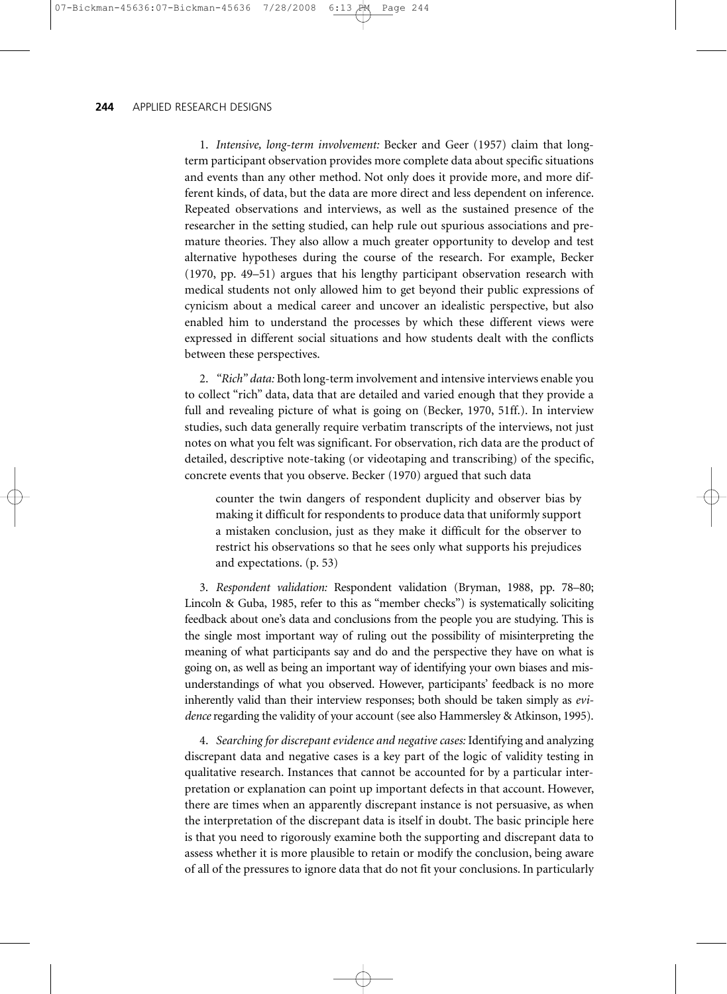1. *Intensive, long-term involvement:* Becker and Geer (1957) claim that longterm participant observation provides more complete data about specific situations and events than any other method. Not only does it provide more, and more different kinds, of data, but the data are more direct and less dependent on inference. Repeated observations and interviews, as well as the sustained presence of the researcher in the setting studied, can help rule out spurious associations and premature theories. They also allow a much greater opportunity to develop and test alternative hypotheses during the course of the research. For example, Becker (1970, pp. 49–51) argues that his lengthy participant observation research with medical students not only allowed him to get beyond their public expressions of cynicism about a medical career and uncover an idealistic perspective, but also enabled him to understand the processes by which these different views were expressed in different social situations and how students dealt with the conflicts between these perspectives.

2. *"Rich" data:* Both long-term involvement and intensive interviews enable you to collect "rich" data, data that are detailed and varied enough that they provide a full and revealing picture of what is going on (Becker, 1970, 51ff.). In interview studies, such data generally require verbatim transcripts of the interviews, not just notes on what you felt was significant. For observation, rich data are the product of detailed, descriptive note-taking (or videotaping and transcribing) of the specific, concrete events that you observe. Becker (1970) argued that such data

counter the twin dangers of respondent duplicity and observer bias by making it difficult for respondents to produce data that uniformly support a mistaken conclusion, just as they make it difficult for the observer to restrict his observations so that he sees only what supports his prejudices and expectations. (p. 53)

3. *Respondent validation:* Respondent validation (Bryman, 1988, pp. 78–80; Lincoln & Guba, 1985, refer to this as "member checks") is systematically soliciting feedback about one's data and conclusions from the people you are studying. This is the single most important way of ruling out the possibility of misinterpreting the meaning of what participants say and do and the perspective they have on what is going on, as well as being an important way of identifying your own biases and misunderstandings of what you observed. However, participants' feedback is no more inherently valid than their interview responses; both should be taken simply as *evidence* regarding the validity of your account (see also Hammersley & Atkinson, 1995).

4. *Searching for discrepant evidence and negative cases:* Identifying and analyzing discrepant data and negative cases is a key part of the logic of validity testing in qualitative research. Instances that cannot be accounted for by a particular interpretation or explanation can point up important defects in that account. However, there are times when an apparently discrepant instance is not persuasive, as when the interpretation of the discrepant data is itself in doubt. The basic principle here is that you need to rigorously examine both the supporting and discrepant data to assess whether it is more plausible to retain or modify the conclusion, being aware of all of the pressures to ignore data that do not fit your conclusions. In particularly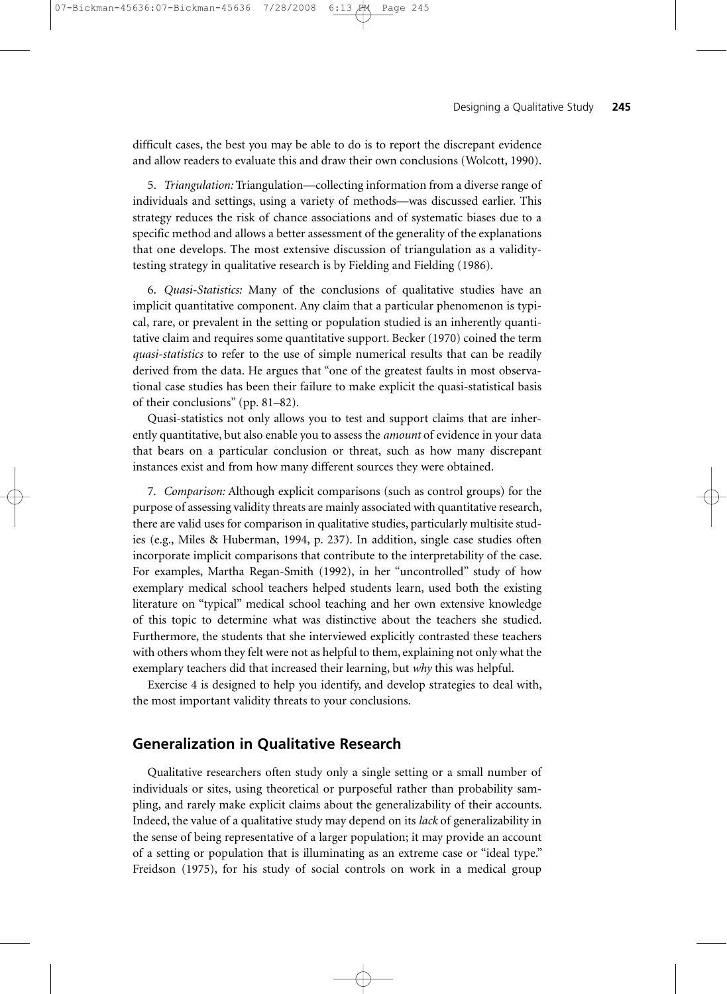difficult cases, the best you may be able to do is to report the discrepant evidence and allow readers to evaluate this and draw their own conclusions (Wolcott, 1990).

> 5. *Triangulation:* Triangulation—collecting information from a diverse range of individuals and settings, using a variety of methods—was discussed earlier. This strategy reduces the risk of chance associations and of systematic biases due to a specific method and allows a better assessment of the generality of the explanations that one develops. The most extensive discussion of triangulation as a validitytesting strategy in qualitative research is by Fielding and Fielding (1986).

> 6. *Quasi-Statistics:* Many of the conclusions of qualitative studies have an implicit quantitative component. Any claim that a particular phenomenon is typical, rare, or prevalent in the setting or population studied is an inherently quantitative claim and requires some quantitative support. Becker (1970) coined the term *quasi-statistics* to refer to the use of simple numerical results that can be readily derived from the data. He argues that "one of the greatest faults in most observational case studies has been their failure to make explicit the quasi-statistical basis of their conclusions" (pp. 81–82).

> Quasi-statistics not only allows you to test and support claims that are inherently quantitative, but also enable you to assess the *amount* of evidence in your data that bears on a particular conclusion or threat, such as how many discrepant instances exist and from how many different sources they were obtained.

> 7. *Comparison:* Although explicit comparisons (such as control groups) for the purpose of assessing validity threats are mainly associated with quantitative research, there are valid uses for comparison in qualitative studies, particularly multisite studies (e.g., Miles & Huberman, 1994, p. 237). In addition, single case studies often incorporate implicit comparisons that contribute to the interpretability of the case. For examples, Martha Regan-Smith (1992), in her "uncontrolled" study of how exemplary medical school teachers helped students learn, used both the existing literature on "typical" medical school teaching and her own extensive knowledge of this topic to determine what was distinctive about the teachers she studied. Furthermore, the students that she interviewed explicitly contrasted these teachers with others whom they felt were not as helpful to them, explaining not only what the exemplary teachers did that increased their learning, but *why* this was helpful.

> Exercise 4 is designed to help you identify, and develop strategies to deal with, the most important validity threats to your conclusions.

# **Generalization in Qualitative Research**

Qualitative researchers often study only a single setting or a small number of individuals or sites, using theoretical or purposeful rather than probability sampling, and rarely make explicit claims about the generalizability of their accounts. Indeed, the value of a qualitative study may depend on its *lack* of generalizability in the sense of being representative of a larger population; it may provide an account of a setting or population that is illuminating as an extreme case or "ideal type." Freidson (1975), for his study of social controls on work in a medical group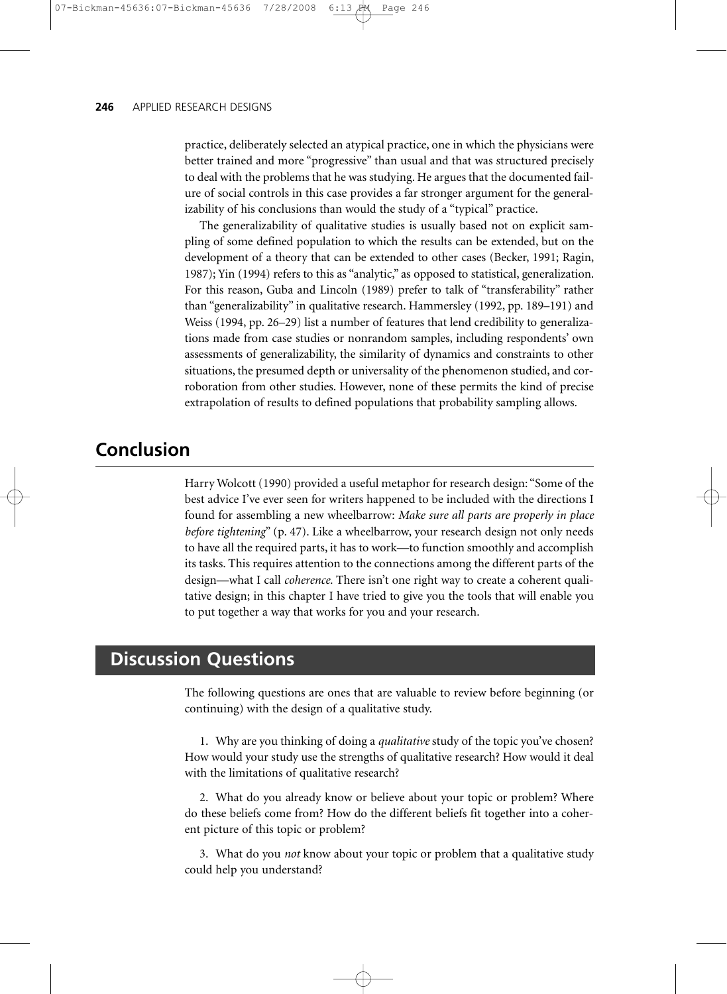practice, deliberately selected an atypical practice, one in which the physicians were better trained and more "progressive" than usual and that was structured precisely to deal with the problems that he was studying. He argues that the documented failure of social controls in this case provides a far stronger argument for the generalizability of his conclusions than would the study of a "typical" practice.

The generalizability of qualitative studies is usually based not on explicit sampling of some defined population to which the results can be extended, but on the development of a theory that can be extended to other cases (Becker, 1991; Ragin, 1987); Yin (1994) refers to this as "analytic," as opposed to statistical, generalization. For this reason, Guba and Lincoln (1989) prefer to talk of "transferability" rather than "generalizability" in qualitative research. Hammersley (1992, pp. 189–191) and Weiss (1994, pp. 26–29) list a number of features that lend credibility to generalizations made from case studies or nonrandom samples, including respondents' own assessments of generalizability, the similarity of dynamics and constraints to other situations, the presumed depth or universality of the phenomenon studied, and corroboration from other studies. However, none of these permits the kind of precise extrapolation of results to defined populations that probability sampling allows.

# **Conclusion**

Harry Wolcott (1990) provided a useful metaphor for research design: "Some of the best advice I've ever seen for writers happened to be included with the directions I found for assembling a new wheelbarrow: *Make sure all parts are properly in place before tightening*" (p. 47). Like a wheelbarrow, your research design not only needs to have all the required parts, it has to work—to function smoothly and accomplish its tasks. This requires attention to the connections among the different parts of the design—what I call *coherence.* There isn't one right way to create a coherent qualitative design; in this chapter I have tried to give you the tools that will enable you to put together a way that works for you and your research.

# **Discussion Questions**

The following questions are ones that are valuable to review before beginning (or continuing) with the design of a qualitative study.

1. Why are you thinking of doing a *qualitative* study of the topic you've chosen? How would your study use the strengths of qualitative research? How would it deal with the limitations of qualitative research?

2. What do you already know or believe about your topic or problem? Where do these beliefs come from? How do the different beliefs fit together into a coherent picture of this topic or problem?

3. What do you *not* know about your topic or problem that a qualitative study could help you understand?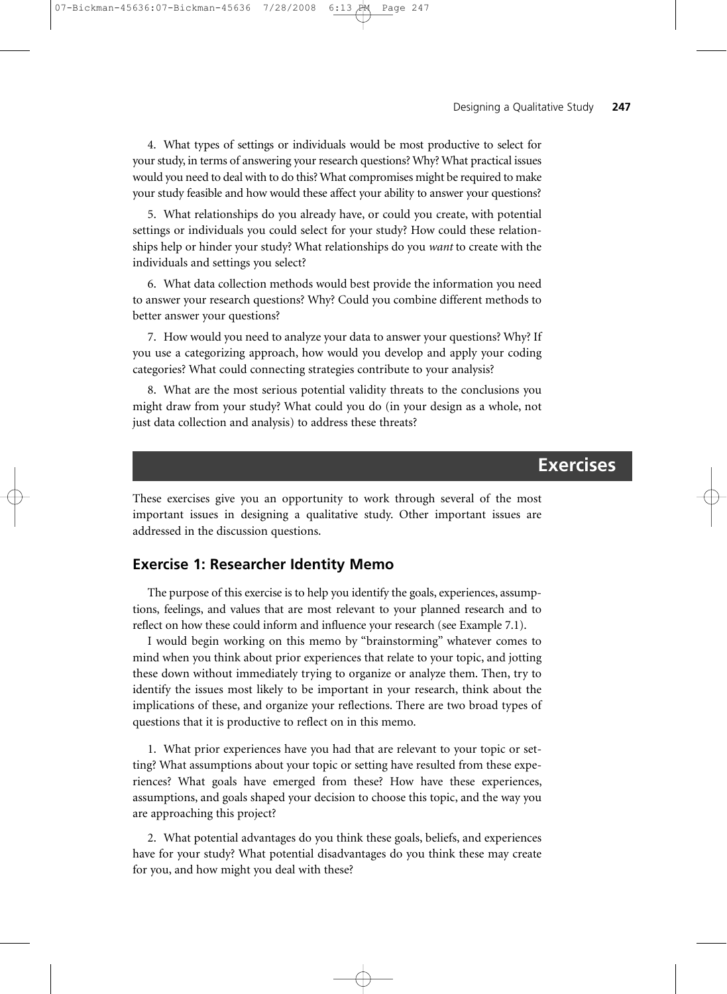4. What types of settings or individuals would be most productive to select for your study, in terms of answering your research questions? Why? What practical issues would you need to deal with to do this? What compromises might be required to make your study feasible and how would these affect your ability to answer your questions?

5. What relationships do you already have, or could you create, with potential settings or individuals you could select for your study? How could these relationships help or hinder your study? What relationships do you *want* to create with the individuals and settings you select?

6. What data collection methods would best provide the information you need to answer your research questions? Why? Could you combine different methods to better answer your questions?

7. How would you need to analyze your data to answer your questions? Why? If you use a categorizing approach, how would you develop and apply your coding categories? What could connecting strategies contribute to your analysis?

8. What are the most serious potential validity threats to the conclusions you might draw from your study? What could you do (in your design as a whole, not just data collection and analysis) to address these threats?

# **Exercises**

These exercises give you an opportunity to work through several of the most important issues in designing a qualitative study. Other important issues are addressed in the discussion questions.

# **Exercise 1: Researcher Identity Memo**

The purpose of this exercise is to help you identify the goals, experiences, assumptions, feelings, and values that are most relevant to your planned research and to reflect on how these could inform and influence your research (see Example 7.1).

I would begin working on this memo by "brainstorming" whatever comes to mind when you think about prior experiences that relate to your topic, and jotting these down without immediately trying to organize or analyze them. Then, try to identify the issues most likely to be important in your research, think about the implications of these, and organize your reflections. There are two broad types of questions that it is productive to reflect on in this memo.

1. What prior experiences have you had that are relevant to your topic or setting? What assumptions about your topic or setting have resulted from these experiences? What goals have emerged from these? How have these experiences, assumptions, and goals shaped your decision to choose this topic, and the way you are approaching this project?

2. What potential advantages do you think these goals, beliefs, and experiences have for your study? What potential disadvantages do you think these may create for you, and how might you deal with these?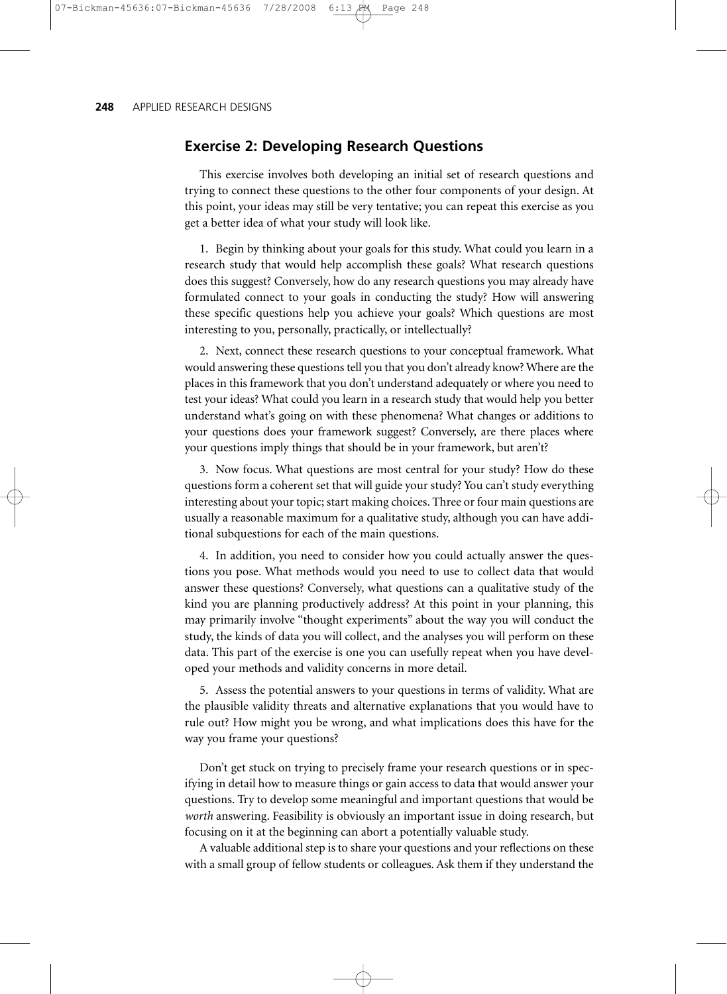# 07-Bickman-45636:07-Bickman-45636 7/28/2008 6:13 PM Page 248

# **248** APPLIED RESEARCH DESIGNS

# **Exercise 2: Developing Research Questions**

This exercise involves both developing an initial set of research questions and trying to connect these questions to the other four components of your design. At this point, your ideas may still be very tentative; you can repeat this exercise as you get a better idea of what your study will look like.

1. Begin by thinking about your goals for this study. What could you learn in a research study that would help accomplish these goals? What research questions does this suggest? Conversely, how do any research questions you may already have formulated connect to your goals in conducting the study? How will answering these specific questions help you achieve your goals? Which questions are most interesting to you, personally, practically, or intellectually?

2. Next, connect these research questions to your conceptual framework. What would answering these questions tell you that you don't already know? Where are the places in this framework that you don't understand adequately or where you need to test your ideas? What could you learn in a research study that would help you better understand what's going on with these phenomena? What changes or additions to your questions does your framework suggest? Conversely, are there places where your questions imply things that should be in your framework, but aren't?

3. Now focus. What questions are most central for your study? How do these questions form a coherent set that will guide your study? You can't study everything interesting about your topic; start making choices. Three or four main questions are usually a reasonable maximum for a qualitative study, although you can have additional subquestions for each of the main questions.

4. In addition, you need to consider how you could actually answer the questions you pose. What methods would you need to use to collect data that would answer these questions? Conversely, what questions can a qualitative study of the kind you are planning productively address? At this point in your planning, this may primarily involve "thought experiments" about the way you will conduct the study, the kinds of data you will collect, and the analyses you will perform on these data. This part of the exercise is one you can usefully repeat when you have developed your methods and validity concerns in more detail.

5. Assess the potential answers to your questions in terms of validity. What are the plausible validity threats and alternative explanations that you would have to rule out? How might you be wrong, and what implications does this have for the way you frame your questions?

Don't get stuck on trying to precisely frame your research questions or in specifying in detail how to measure things or gain access to data that would answer your questions. Try to develop some meaningful and important questions that would be *worth* answering. Feasibility is obviously an important issue in doing research, but focusing on it at the beginning can abort a potentially valuable study.

A valuable additional step is to share your questions and your reflections on these with a small group of fellow students or colleagues. Ask them if they understand the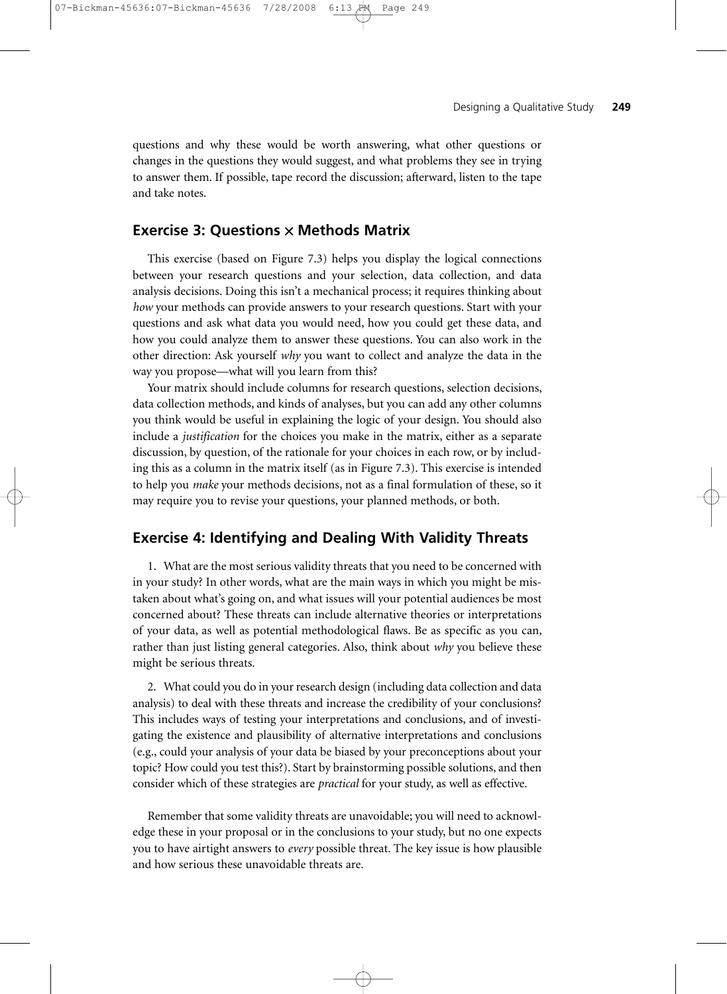questions and why these would be worth answering, what other questions or changes in the questions they would suggest, and what problems they see in trying to answer them. If possible, tape record the discussion; afterward, listen to the tape and take notes.

# **Exercise 3: Questions** × **Methods Matrix**

This exercise (based on Figure 7.3) helps you display the logical connections between your research questions and your selection, data collection, and data analysis decisions. Doing this isn't a mechanical process; it requires thinking about *how* your methods can provide answers to your research questions. Start with your questions and ask what data you would need, how you could get these data, and how you could analyze them to answer these questions. You can also work in the other direction: Ask yourself *why* you want to collect and analyze the data in the way you propose—what will you learn from this?

Your matrix should include columns for research questions, selection decisions, data collection methods, and kinds of analyses, but you can add any other columns you think would be useful in explaining the logic of your design. You should also include a *justification* for the choices you make in the matrix, either as a separate discussion, by question, of the rationale for your choices in each row, or by including this as a column in the matrix itself (as in Figure 7.3). This exercise is intended to help you *make* your methods decisions, not as a final formulation of these, so it may require you to revise your questions, your planned methods, or both.

# **Exercise 4: Identifying and Dealing With Validity Threats**

1. What are the most serious validity threats that you need to be concerned with in your study? In other words, what are the main ways in which you might be mistaken about what's going on, and what issues will your potential audiences be most concerned about? These threats can include alternative theories or interpretations of your data, as well as potential methodological flaws. Be as specific as you can, rather than just listing general categories. Also, think about *why* you believe these might be serious threats.

2. What could you do in your research design (including data collection and data analysis) to deal with these threats and increase the credibility of your conclusions? This includes ways of testing your interpretations and conclusions, and of investigating the existence and plausibility of alternative interpretations and conclusions (e.g., could your analysis of your data be biased by your preconceptions about your topic? How could you test this?). Start by brainstorming possible solutions, and then consider which of these strategies are *practical* for your study, as well as effective.

Remember that some validity threats are unavoidable; you will need to acknowledge these in your proposal or in the conclusions to your study, but no one expects you to have airtight answers to *every* possible threat. The key issue is how plausible and how serious these unavoidable threats are.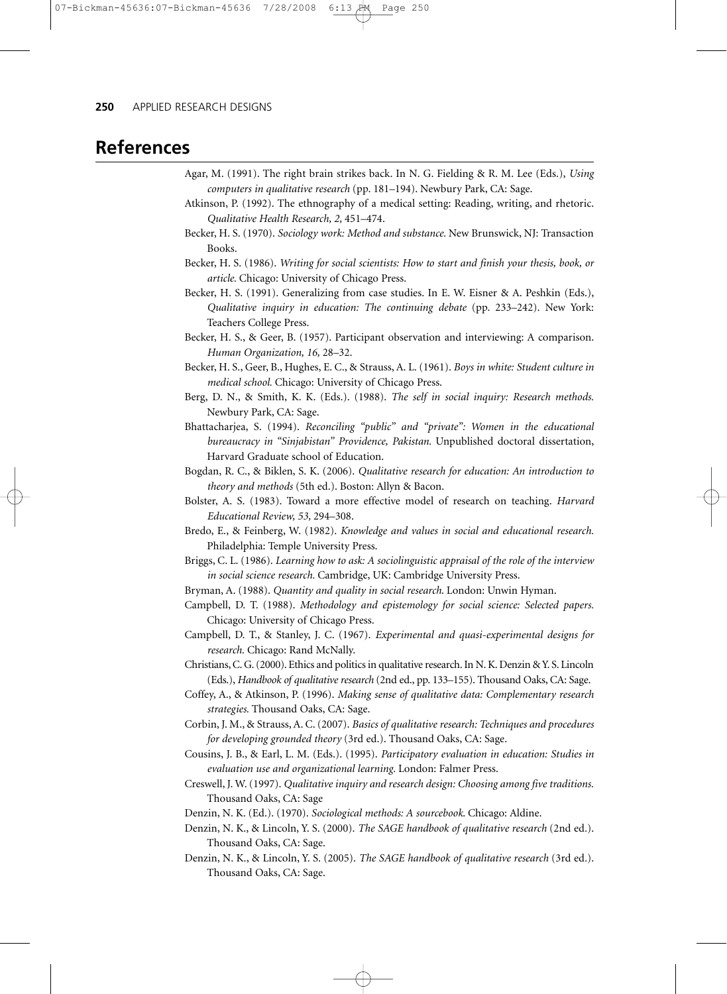# 07-Bickman-45636:07-Bickman-45636 7/28/2008 6:13 AM Page 250

**250** APPLIED RESEARCH DESIGNS

# **References**

- Agar, M. (1991). The right brain strikes back. In N. G. Fielding & R. M. Lee (Eds.), *Using computers in qualitative research* (pp. 181–194). Newbury Park, CA: Sage.
- Atkinson, P. (1992). The ethnography of a medical setting: Reading, writing, and rhetoric. *Qualitative Health Research, 2,* 451–474.
- Becker, H. S. (1970). *Sociology work: Method and substance.* New Brunswick, NJ: Transaction Books.
- Becker, H. S. (1986). *Writing for social scientists: How to start and finish your thesis, book, or article.* Chicago: University of Chicago Press.
- Becker, H. S. (1991). Generalizing from case studies. In E. W. Eisner & A. Peshkin (Eds.), *Qualitative inquiry in education: The continuing debate* (pp. 233–242). New York: Teachers College Press.
- Becker, H. S., & Geer, B. (1957). Participant observation and interviewing: A comparison. *Human Organization, 16,* 28–32.
- Becker, H. S., Geer, B., Hughes, E. C., & Strauss, A. L. (1961). *Boys in white: Student culture in medical school.* Chicago: University of Chicago Press.
- Berg, D. N., & Smith, K. K. (Eds.). (1988). *The self in social inquiry: Research methods.* Newbury Park, CA: Sage.
- Bhattacharjea, S. (1994). *Reconciling "public" and "private": Women in the educational bureaucracy in "Sinjabistan" Providence, Pakistan.* Unpublished doctoral dissertation, Harvard Graduate school of Education.
- Bogdan, R. C., & Biklen, S. K. (2006). *Qualitative research for education: An introduction to theory and methods* (5th ed.). Boston: Allyn & Bacon.
- Bolster, A. S. (1983). Toward a more effective model of research on teaching. *Harvard Educational Review, 53,* 294–308.
- Bredo, E., & Feinberg, W. (1982). *Knowledge and values in social and educational research.* Philadelphia: Temple University Press.
- Briggs, C. L. (1986). *Learning how to ask: A sociolinguistic appraisal of the role of the interview in social science research.* Cambridge, UK: Cambridge University Press.
- Bryman, A. (1988). *Quantity and quality in social research*. London: Unwin Hyman.

Campbell, D. T. (1988). *Methodology and epistemology for social science: Selected papers.* Chicago: University of Chicago Press.

Campbell, D. T., & Stanley, J. C. (1967). *Experimental and quasi-experimental designs for research.* Chicago: Rand McNally.

Christians,C. G.(2000). Ethics and politicsin qualitative research.In N.K.Denzin &Y. S. Lincoln (Eds.), *Handbook of qualitative research* (2nd ed., pp. 133–155). Thousand Oaks, CA: Sage.

- Coffey, A., & Atkinson, P. (1996). *Making sense of qualitative data: Complementary research strategies.* Thousand Oaks, CA: Sage.
- Corbin, J. M., & Strauss, A. C.(2007). *Basics of qualitative research: Techniques and procedures for developing grounded theory* (3rd ed.). Thousand Oaks, CA: Sage.
- Cousins, J. B., & Earl, L. M. (Eds.). (1995). *Participatory evaluation in education: Studies in evaluation use and organizational learning.* London: Falmer Press.
- Creswell, J. W.(1997). *Qualitative inquiry and research design: Choosing among five traditions.* Thousand Oaks, CA: Sage
- Denzin, N. K. (Ed.). (1970). *Sociological methods: A sourcebook*. Chicago: Aldine.
- Denzin, N. K., & Lincoln, Y. S. (2000). *The SAGE handbook of qualitative research* (2nd ed*.*). Thousand Oaks, CA: Sage.
- Denzin, N. K., & Lincoln, Y. S. (2005). *The SAGE handbook of qualitative research* (3rd ed*.*). Thousand Oaks, CA: Sage.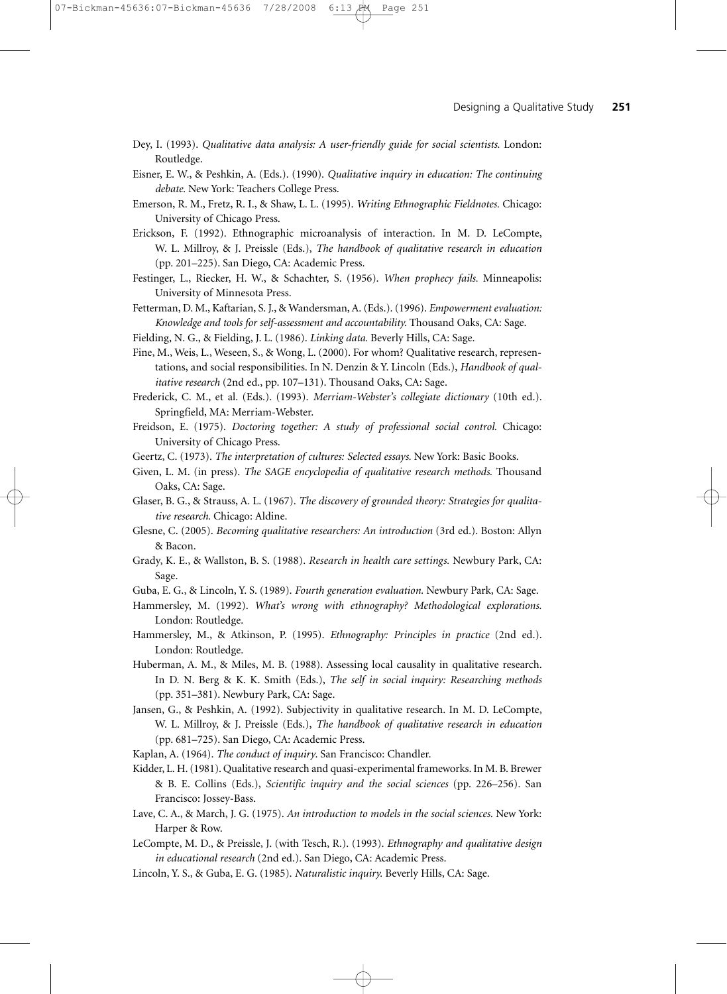- Dey, I. (1993). *Qualitative data analysis: A user-friendly guide for social scientists.* London: Routledge.
- Eisner, E. W., & Peshkin, A. (Eds.). (1990). *Qualitative inquiry in education: The continuing debate.* New York: Teachers College Press.
- Emerson, R. M., Fretz, R. I., & Shaw, L. L. (1995). *Writing Ethnographic Fieldnotes.* Chicago: University of Chicago Press.
- Erickson, F. (1992). Ethnographic microanalysis of interaction. In M. D. LeCompte, W. L. Millroy, & J. Preissle (Eds.), *The handbook of qualitative research in education* (pp. 201–225). San Diego, CA: Academic Press.
- Festinger, L., Riecker, H. W., & Schachter, S. (1956). *When prophecy fails.* Minneapolis: University of Minnesota Press.
- Fetterman, D. M., Kaftarian, S. J., & Wandersman,A.(Eds.).(1996). *Empowerment evaluation: Knowledge and tools for self-assessment and accountability.* Thousand Oaks, CA: Sage.
- Fielding, N. G., & Fielding, J. L. (1986). *Linking data.* Beverly Hills, CA: Sage.
- Fine, M., Weis, L., Weseen, S., & Wong, L. (2000). For whom? Qualitative research, representations, and social responsibilities. In N. Denzin & Y. Lincoln (Eds.), *Handbook of qualitative research* (2nd ed., pp. 107–131). Thousand Oaks, CA: Sage.
- Frederick, C. M., et al. (Eds.). (1993). *Merriam-Webster's collegiate dictionary* (10th ed.). Springfield, MA: Merriam-Webster.
- Freidson, E. (1975). *Doctoring together: A study of professional social control.* Chicago: University of Chicago Press.
- Geertz, C. (1973). *The interpretation of cultures: Selected essays.* New York: Basic Books.
- Given, L. M. (in press). *The SAGE encyclopedia of qualitative research methods.* Thousand Oaks, CA: Sage.
- Glaser, B. G., & Strauss, A. L. (1967). *The discovery of grounded theory: Strategies for qualitative research.* Chicago: Aldine.
- Glesne, C. (2005). *Becoming qualitative researchers: An introduction* (3rd ed*.*). Boston: Allyn & Bacon.
- Grady, K. E., & Wallston, B. S. (1988). *Research in health care settings.* Newbury Park, CA: Sage.
- Guba, E. G., & Lincoln, Y. S. (1989). *Fourth generation evaluation.* Newbury Park, CA: Sage.
- Hammersley, M. (1992). *What's wrong with ethnography? Methodological explorations.* London: Routledge.
- Hammersley, M., & Atkinson, P. (1995). *Ethnography: Principles in practice* (2nd ed.). London: Routledge.
- Huberman, A. M., & Miles, M. B. (1988). Assessing local causality in qualitative research. In D. N. Berg & K. K. Smith (Eds.), *The self in social inquiry: Researching methods* (pp. 351–381). Newbury Park, CA: Sage.
- Jansen, G., & Peshkin, A. (1992). Subjectivity in qualitative research. In M. D. LeCompte, W. L. Millroy, & J. Preissle (Eds.), *The handbook of qualitative research in education* (pp. 681–725). San Diego, CA: Academic Press.

Kaplan, A. (1964). *The conduct of inquiry*. San Francisco: Chandler.

- Kidder, L. H.(1981). Qualitative research and quasi-experimental frameworks.In M. B. Brewer & B. E. Collins (Eds.), *Scientific inquiry and the social sciences* (pp. 226–256)*.* San Francisco: Jossey-Bass.
- Lave, C. A., & March, J. G. (1975). *An introduction to models in the social sciences.* New York: Harper & Row.
- LeCompte, M. D., & Preissle, J. (with Tesch, R.). (1993). *Ethnography and qualitative design in educational research* (2nd ed.). San Diego, CA: Academic Press.
- Lincoln, Y. S., & Guba, E. G. (1985). *Naturalistic inquiry.* Beverly Hills, CA: Sage.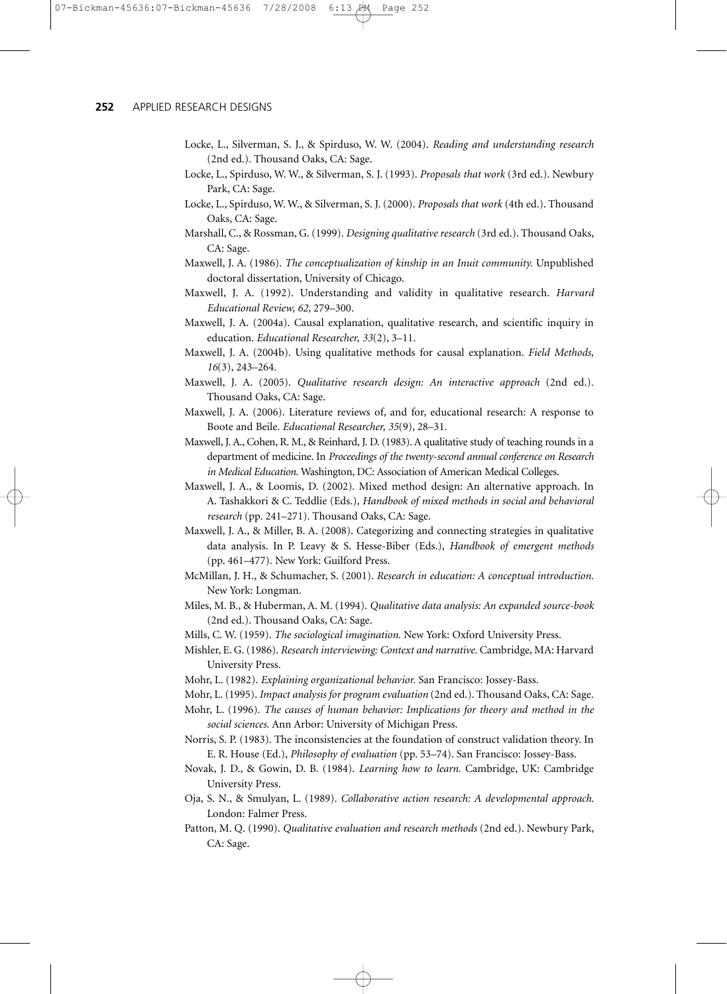# 07-Bickman-45636:07-Bickman-45636 7/28/2008 6:13 AM Page 252

# **252** APPLIED RESEARCH DESIGNS

- Locke, L., Silverman, S. J., & Spirduso, W. W. (2004). *Reading and understanding research* (2nd ed.). Thousand Oaks, CA: Sage.
- Locke, L., Spirduso, W. W., & Silverman, S. J. (1993). *Proposals that work* (3rd ed.). Newbury Park, CA: Sage.
- Locke, L., Spirduso, W. W., & Silverman, S. J. (2000). *Proposals that work* (4th ed.). Thousand Oaks, CA: Sage.
- Marshall, C., & Rossman, G. (1999). *Designing qualitative research* (3rd ed.). Thousand Oaks, CA: Sage.
- Maxwell, J. A. (1986). *The conceptualization of kinship in an Inuit community.* Unpublished doctoral dissertation, University of Chicago.
- Maxwell, J. A. (1992). Understanding and validity in qualitative research. *Harvard Educational Review, 62,* 279–300.
- Maxwell, J. A. (2004a). Causal explanation, qualitative research, and scientific inquiry in education. *Educational Researcher, 33*(2), 3–11.
- Maxwell, J. A. (2004b). Using qualitative methods for causal explanation. *Field Methods, 16*(3), 243–264.
- Maxwell, J. A. (2005). *Qualitative research design: An interactive approach* (2nd ed.)*.* Thousand Oaks, CA: Sage.
- Maxwell, J. A. (2006). Literature reviews of, and for, educational research: A response to Boote and Beile. *Educational Researcher, 35*(9), 28–31*.*
- Maxwell, J. A., Cohen, R. M., & Reinhard, J. D. (1983). A qualitative study of teaching rounds in a department of medicine. In *Proceedings of the twenty-second annual conference on Research in Medical Education.* Washington, DC: Association of American Medical Colleges.
- Maxwell, J. A., & Loomis, D. (2002). Mixed method design: An alternative approach. In A. Tashakkori & C. Teddlie (Eds.)*, Handbook of mixed methods in social and behavioral research* (pp. 241–271). Thousand Oaks, CA: Sage.
- Maxwell, J. A., & Miller, B. A. (2008). Categorizing and connecting strategies in qualitative data analysis. In P. Leavy & S. Hesse-Biber (Eds.), *Handbook of emergent methods* (pp. 461–477)*.* New York: Guilford Press.
- McMillan, J. H., & Schumacher, S. (2001). *Research in education: A conceptual introduction.* New York: Longman.
- Miles, M. B., & Huberman, A. M. (1994). *Qualitative data analysis: An expanded source-book* (2nd ed.). Thousand Oaks, CA: Sage.
- Mills, C. W. (1959). *The sociological imagination.* New York: Oxford University Press.
- Mishler, E. G.(1986). *Research interviewing: Context and narrative.* Cambridge, MA: Harvard University Press.
- Mohr, L. (1982). *Explaining organizational behavior.* San Francisco: Jossey-Bass.
- Mohr, L. (1995). *Impact analysis for program evaluation* (2nd ed.). Thousand Oaks, CA: Sage.

Mohr, L. (1996). *The causes of human behavior: Implications for theory and method in the social sciences.* Ann Arbor: University of Michigan Press.

- Norris, S. P. (1983). The inconsistencies at the foundation of construct validation theory. In E. R. House (Ed.), *Philosophy of evaluation* (pp. 53–74). San Francisco: Jossey-Bass.
- Novak, J. D., & Gowin, D. B. (1984). *Learning how to learn.* Cambridge, UK: Cambridge University Press.
- Oja, S. N., & Smulyan, L. (1989). *Collaborative action research: A developmental approach*. London: Falmer Press.
- Patton, M. Q. (1990). *Qualitative evaluation and research methods* (2nd ed.). Newbury Park, CA: Sage.